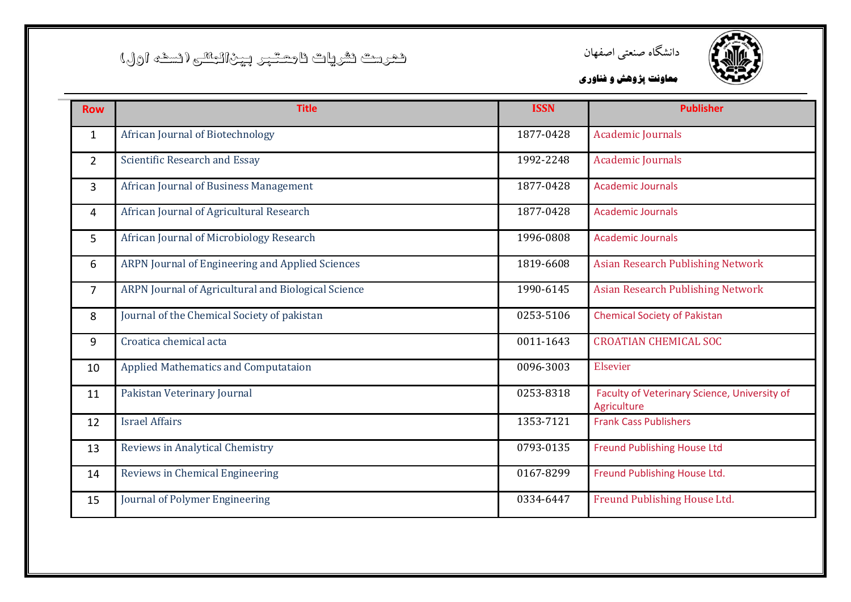



| <b>Row</b>     | <b>Title</b>                                        | <b>ISSN</b> | <b>Publisher</b>                                            |
|----------------|-----------------------------------------------------|-------------|-------------------------------------------------------------|
| $\mathbf{1}$   | African Journal of Biotechnology                    | 1877-0428   | <b>Academic Journals</b>                                    |
| $\overline{2}$ | Scientific Research and Essay                       | 1992-2248   | <b>Academic Journals</b>                                    |
| 3              | African Journal of Business Management              | 1877-0428   | <b>Academic Journals</b>                                    |
| 4              | African Journal of Agricultural Research            | 1877-0428   | <b>Academic Journals</b>                                    |
| 5              | African Journal of Microbiology Research            | 1996-0808   | <b>Academic Journals</b>                                    |
| 6              | ARPN Journal of Engineering and Applied Sciences    | 1819-6608   | <b>Asian Research Publishing Network</b>                    |
| $\overline{7}$ | ARPN Journal of Agricultural and Biological Science | 1990-6145   | <b>Asian Research Publishing Network</b>                    |
| 8              | Journal of the Chemical Society of pakistan         | 0253-5106   | <b>Chemical Society of Pakistan</b>                         |
| 9              | Croatica chemical acta                              | 0011-1643   | <b>CROATIAN CHEMICAL SOC</b>                                |
| 10             | Applied Mathematics and Computataion                | 0096-3003   | Elsevier                                                    |
| 11             | Pakistan Veterinary Journal                         | 0253-8318   | Faculty of Veterinary Science, University of<br>Agriculture |
| 12             | <b>Israel Affairs</b>                               | 1353-7121   | <b>Frank Cass Publishers</b>                                |
| 13             | Reviews in Analytical Chemistry                     | 0793-0135   | <b>Freund Publishing House Ltd</b>                          |
| 14             | Reviews in Chemical Engineering                     | 0167-8299   | Freund Publishing House Ltd.                                |
| 15             | Journal of Polymer Engineering                      | 0334-6447   | Freund Publishing House Ltd.                                |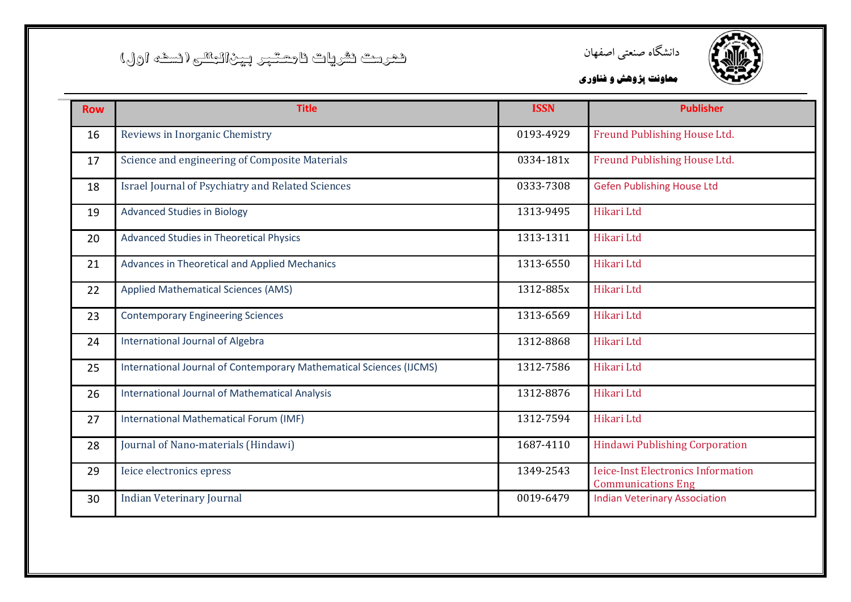



| <b>Row</b> | <b>Title</b>                                                        | <b>ISSN</b> | <b>Publisher</b>                                                       |
|------------|---------------------------------------------------------------------|-------------|------------------------------------------------------------------------|
| 16         | Reviews in Inorganic Chemistry                                      | 0193-4929   | Freund Publishing House Ltd.                                           |
| 17         | Science and engineering of Composite Materials                      | 0334-181x   | Freund Publishing House Ltd.                                           |
| 18         | <b>Israel Journal of Psychiatry and Related Sciences</b>            | 0333-7308   | <b>Gefen Publishing House Ltd</b>                                      |
| 19         | <b>Advanced Studies in Biology</b>                                  | 1313-9495   | Hikari Ltd                                                             |
| 20         | Advanced Studies in Theoretical Physics                             | 1313-1311   | Hikari Ltd                                                             |
| 21         | Advances in Theoretical and Applied Mechanics                       | 1313-6550   | Hikari Ltd                                                             |
| 22         | <b>Applied Mathematical Sciences (AMS)</b>                          | 1312-885x   | Hikari Ltd                                                             |
| 23         | <b>Contemporary Engineering Sciences</b>                            | 1313-6569   | Hikari Ltd                                                             |
| 24         | <b>International Journal of Algebra</b>                             | 1312-8868   | Hikari Ltd                                                             |
| 25         | International Journal of Contemporary Mathematical Sciences (IJCMS) | 1312-7586   | Hikari Ltd                                                             |
| 26         | <b>International Journal of Mathematical Analysis</b>               | 1312-8876   | Hikari Ltd                                                             |
| 27         | International Mathematical Forum (IMF)                              | 1312-7594   | Hikari Ltd                                                             |
| 28         | Journal of Nano-materials (Hindawi)                                 | 1687-4110   | <b>Hindawi Publishing Corporation</b>                                  |
| 29         | Ieice electronics epress                                            | 1349-2543   | <b>Ieice-Inst Electronics Information</b><br><b>Communications Eng</b> |
| 30         | <b>Indian Veterinary Journal</b>                                    | 0019-6479   | <b>Indian Veterinary Association</b>                                   |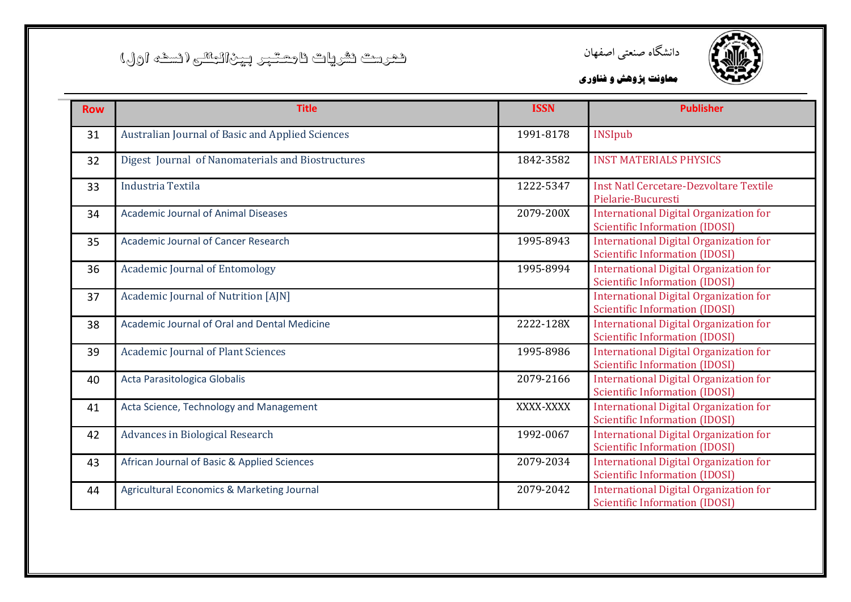



| <b>Row</b> | <b>Title</b>                                      | <b>ISSN</b> | <b>Publisher</b>                                                                       |
|------------|---------------------------------------------------|-------------|----------------------------------------------------------------------------------------|
| 31         | Australian Journal of Basic and Applied Sciences  | 1991-8178   | <b>INSIpub</b>                                                                         |
| 32         | Digest Journal of Nanomaterials and Biostructures | 1842-3582   | <b>INST MATERIALS PHYSICS</b>                                                          |
| 33         | Industria Textila                                 | 1222-5347   | Inst Natl Cercetare-Dezvoltare Textile<br>Pielarie-Bucuresti                           |
| 34         | <b>Academic Journal of Animal Diseases</b>        | 2079-200X   | <b>International Digital Organization for</b><br><b>Scientific Information (IDOSI)</b> |
| 35         | <b>Academic Journal of Cancer Research</b>        | 1995-8943   | <b>International Digital Organization for</b><br><b>Scientific Information (IDOSI)</b> |
| 36         | <b>Academic Journal of Entomology</b>             | 1995-8994   | <b>International Digital Organization for</b><br><b>Scientific Information (IDOSI)</b> |
| 37         | Academic Journal of Nutrition [AJN]               |             | <b>International Digital Organization for</b><br><b>Scientific Information (IDOSI)</b> |
| 38         | Academic Journal of Oral and Dental Medicine      | 2222-128X   | <b>International Digital Organization for</b><br><b>Scientific Information (IDOSI)</b> |
| 39         | <b>Academic Journal of Plant Sciences</b>         | 1995-8986   | <b>International Digital Organization for</b><br>Scientific Information (IDOSI)        |
| 40         | Acta Parasitologica Globalis                      | 2079-2166   | <b>International Digital Organization for</b><br><b>Scientific Information (IDOSI)</b> |
| 41         | Acta Science, Technology and Management           | XXXX-XXXX   | <b>International Digital Organization for</b><br><b>Scientific Information (IDOSI)</b> |
| 42         | Advances in Biological Research                   | 1992-0067   | <b>International Digital Organization for</b><br><b>Scientific Information (IDOSI)</b> |
| 43         | African Journal of Basic & Applied Sciences       | 2079-2034   | <b>International Digital Organization for</b><br><b>Scientific Information (IDOSI)</b> |
| 44         | Agricultural Economics & Marketing Journal        | 2079-2042   | <b>International Digital Organization for</b><br><b>Scientific Information (IDOSI)</b> |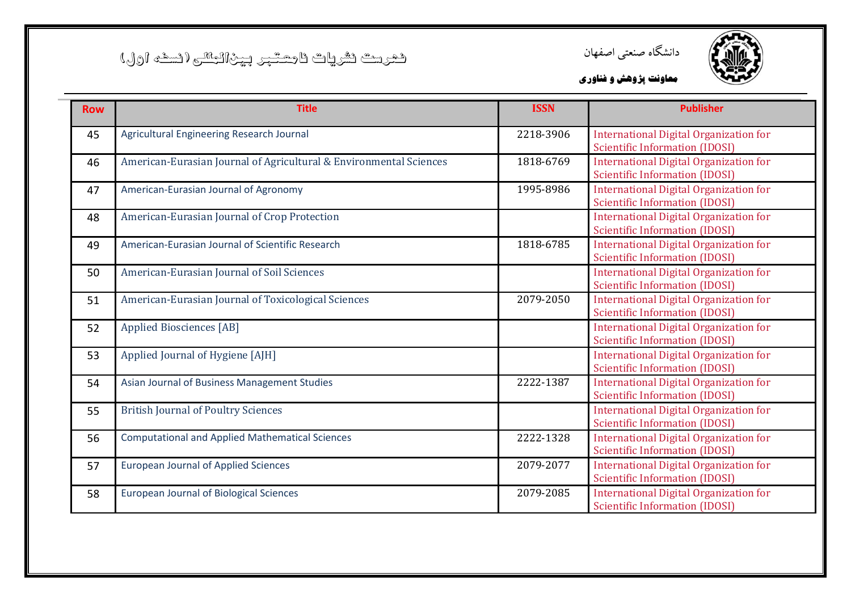



| <b>Row</b> | <b>Title</b>                                                       | <b>ISSN</b> | <b>Publisher</b>                                                                       |
|------------|--------------------------------------------------------------------|-------------|----------------------------------------------------------------------------------------|
| 45         | Agricultural Engineering Research Journal                          | 2218-3906   | <b>International Digital Organization for</b><br><b>Scientific Information (IDOSI)</b> |
| 46         | American-Eurasian Journal of Agricultural & Environmental Sciences | 1818-6769   | <b>International Digital Organization for</b><br><b>Scientific Information (IDOSI)</b> |
| 47         | American-Eurasian Journal of Agronomy                              | 1995-8986   | <b>International Digital Organization for</b><br><b>Scientific Information (IDOSI)</b> |
| 48         | American-Eurasian Journal of Crop Protection                       |             | <b>International Digital Organization for</b><br><b>Scientific Information (IDOSI)</b> |
| 49         | American-Eurasian Journal of Scientific Research                   | 1818-6785   | <b>International Digital Organization for</b><br><b>Scientific Information (IDOSI)</b> |
| 50         | American-Eurasian Journal of Soil Sciences                         |             | <b>International Digital Organization for</b><br><b>Scientific Information (IDOSI)</b> |
| 51         | American-Eurasian Journal of Toxicological Sciences                | 2079-2050   | <b>International Digital Organization for</b><br><b>Scientific Information (IDOSI)</b> |
| 52         | <b>Applied Biosciences [AB]</b>                                    |             | <b>International Digital Organization for</b><br><b>Scientific Information (IDOSI)</b> |
| 53         | Applied Journal of Hygiene [AJH]                                   |             | <b>International Digital Organization for</b><br><b>Scientific Information (IDOSI)</b> |
| 54         | Asian Journal of Business Management Studies                       | 2222-1387   | <b>International Digital Organization for</b><br><b>Scientific Information (IDOSI)</b> |
| 55         | <b>British Journal of Poultry Sciences</b>                         |             | <b>International Digital Organization for</b><br>Scientific Information (IDOSI)        |
| 56         | <b>Computational and Applied Mathematical Sciences</b>             | 2222-1328   | <b>International Digital Organization for</b><br><b>Scientific Information (IDOSI)</b> |
| 57         | <b>European Journal of Applied Sciences</b>                        | 2079-2077   | <b>International Digital Organization for</b><br><b>Scientific Information (IDOSI)</b> |
| 58         | <b>European Journal of Biological Sciences</b>                     | 2079-2085   | <b>International Digital Organization for</b><br><b>Scientific Information (IDOSI)</b> |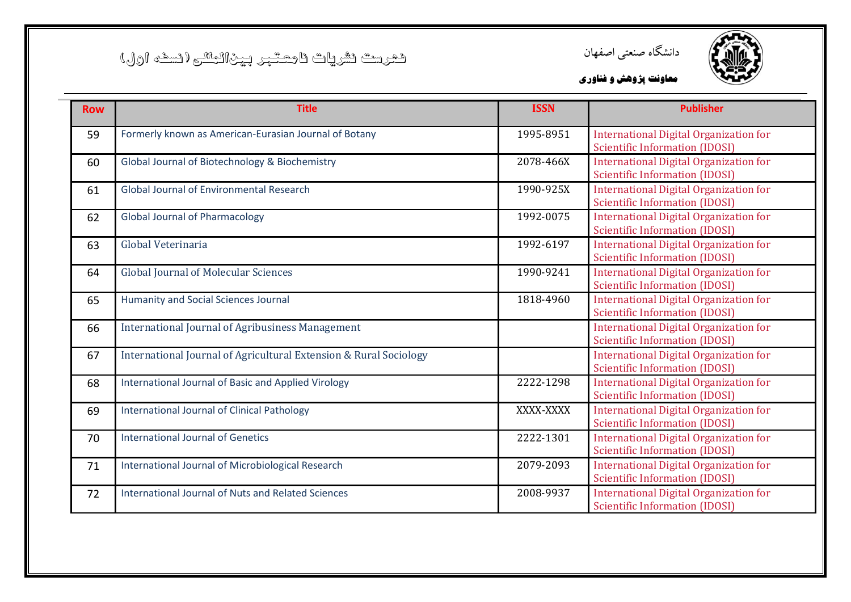



| <b>Row</b> | <b>Title</b>                                                      | <b>ISSN</b> | <b>Publisher</b>                                                                       |
|------------|-------------------------------------------------------------------|-------------|----------------------------------------------------------------------------------------|
| 59         | Formerly known as American-Eurasian Journal of Botany             | 1995-8951   | <b>International Digital Organization for</b><br><b>Scientific Information (IDOSI)</b> |
| 60         | Global Journal of Biotechnology & Biochemistry                    | 2078-466X   | <b>International Digital Organization for</b><br><b>Scientific Information (IDOSI)</b> |
| 61         | <b>Global Journal of Environmental Research</b>                   | 1990-925X   | <b>International Digital Organization for</b><br><b>Scientific Information (IDOSI)</b> |
| 62         | <b>Global Journal of Pharmacology</b>                             | 1992-0075   | <b>International Digital Organization for</b><br><b>Scientific Information (IDOSI)</b> |
| 63         | Global Veterinaria                                                | 1992-6197   | <b>International Digital Organization for</b><br><b>Scientific Information (IDOSI)</b> |
| 64         | <b>Global Journal of Molecular Sciences</b>                       | 1990-9241   | <b>International Digital Organization for</b><br>Scientific Information (IDOSI)        |
| 65         | <b>Humanity and Social Sciences Journal</b>                       | 1818-4960   | <b>International Digital Organization for</b><br><b>Scientific Information (IDOSI)</b> |
| 66         | <b>International Journal of Agribusiness Management</b>           |             | <b>International Digital Organization for</b><br><b>Scientific Information (IDOSI)</b> |
| 67         | International Journal of Agricultural Extension & Rural Sociology |             | <b>International Digital Organization for</b><br>Scientific Information (IDOSI)        |
| 68         | International Journal of Basic and Applied Virology               | 2222-1298   | <b>International Digital Organization for</b><br><b>Scientific Information (IDOSI)</b> |
| 69         | <b>International Journal of Clinical Pathology</b>                | XXXX-XXXX   | <b>International Digital Organization for</b><br>Scientific Information (IDOSI)        |
| 70         | <b>International Journal of Genetics</b>                          | 2222-1301   | <b>International Digital Organization for</b><br><b>Scientific Information (IDOSI)</b> |
| 71         | International Journal of Microbiological Research                 | 2079-2093   | <b>International Digital Organization for</b><br>Scientific Information (IDOSI)        |
| 72         | International Journal of Nuts and Related Sciences                | 2008-9937   | <b>International Digital Organization for</b><br>Scientific Information (IDOSI)        |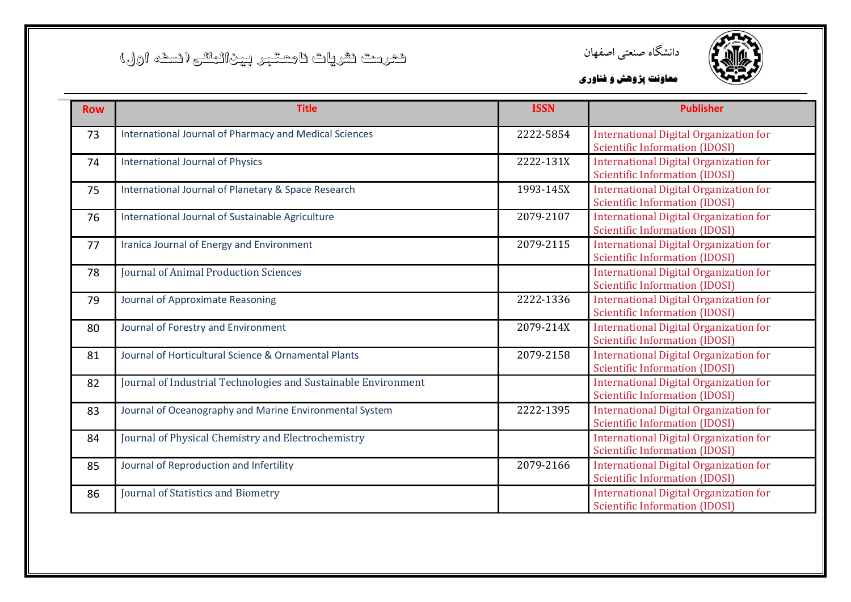



| <b>Row</b> | <b>Title</b>                                                   | <b>ISSN</b> | <b>Publisher</b>                                                                       |
|------------|----------------------------------------------------------------|-------------|----------------------------------------------------------------------------------------|
| 73         | International Journal of Pharmacy and Medical Sciences         | 2222-5854   | <b>International Digital Organization for</b><br><b>Scientific Information (IDOSI)</b> |
| 74         | <b>International Journal of Physics</b>                        | 2222-131X   | <b>International Digital Organization for</b><br><b>Scientific Information (IDOSI)</b> |
| 75         | International Journal of Planetary & Space Research            | 1993-145X   | <b>International Digital Organization for</b><br><b>Scientific Information (IDOSI)</b> |
| 76         | International Journal of Sustainable Agriculture               | 2079-2107   | <b>International Digital Organization for</b><br><b>Scientific Information (IDOSI)</b> |
| 77         | Iranica Journal of Energy and Environment                      | 2079-2115   | <b>International Digital Organization for</b><br><b>Scientific Information (IDOSI)</b> |
| 78         | <b>Iournal of Animal Production Sciences</b>                   |             | <b>International Digital Organization for</b><br><b>Scientific Information (IDOSI)</b> |
| 79         | Journal of Approximate Reasoning                               | 2222-1336   | <b>International Digital Organization for</b><br><b>Scientific Information (IDOSI)</b> |
| 80         | Journal of Forestry and Environment                            | 2079-214X   | <b>International Digital Organization for</b><br><b>Scientific Information (IDOSI)</b> |
| 81         | Journal of Horticultural Science & Ornamental Plants           | 2079-2158   | International Digital Organization for<br>Scientific Information (IDOSI)               |
| 82         | Journal of Industrial Technologies and Sustainable Environment |             | <b>International Digital Organization for</b><br><b>Scientific Information (IDOSI)</b> |
| 83         | Journal of Oceanography and Marine Environmental System        | 2222-1395   | <b>International Digital Organization for</b><br><b>Scientific Information (IDOSI)</b> |
| 84         | Journal of Physical Chemistry and Electrochemistry             |             | <b>International Digital Organization for</b><br><b>Scientific Information (IDOSI)</b> |
| 85         | Journal of Reproduction and Infertility                        | 2079-2166   | <b>International Digital Organization for</b><br><b>Scientific Information (IDOSI)</b> |
| 86         | Journal of Statistics and Biometry                             |             | <b>International Digital Organization for</b><br><b>Scientific Information (IDOSI)</b> |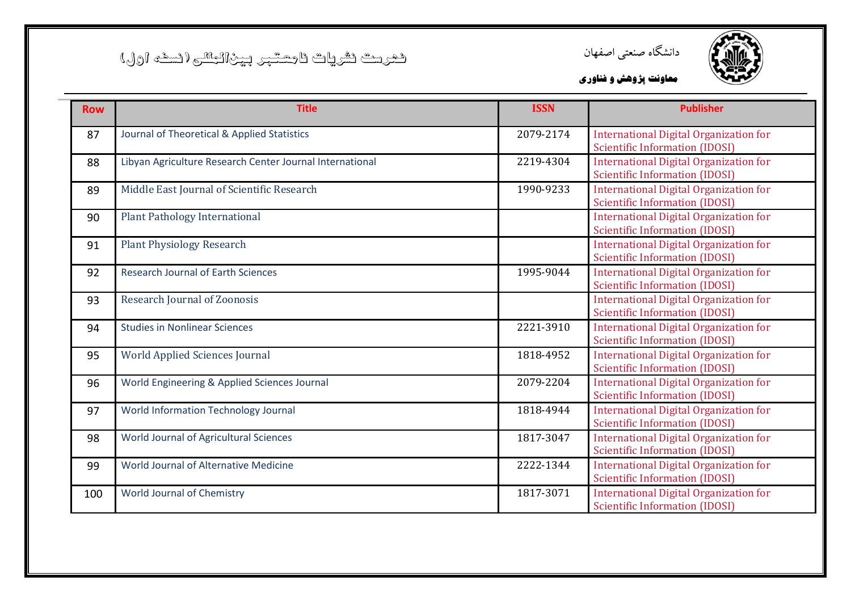



| <b>Row</b> | <b>Title</b>                                             | <b>ISSN</b> | <b>Publisher</b>                                                                       |
|------------|----------------------------------------------------------|-------------|----------------------------------------------------------------------------------------|
| 87         | Journal of Theoretical & Applied Statistics              | 2079-2174   | <b>International Digital Organization for</b><br><b>Scientific Information (IDOSI)</b> |
| 88         | Libyan Agriculture Research Center Journal International | 2219-4304   | <b>International Digital Organization for</b><br><b>Scientific Information (IDOSI)</b> |
| 89         | Middle East Journal of Scientific Research               | 1990-9233   | <b>International Digital Organization for</b><br><b>Scientific Information (IDOSI)</b> |
| 90         | <b>Plant Pathology International</b>                     |             | <b>International Digital Organization for</b><br><b>Scientific Information (IDOSI)</b> |
| 91         | <b>Plant Physiology Research</b>                         |             | <b>International Digital Organization for</b><br><b>Scientific Information (IDOSI)</b> |
| 92         | <b>Research Journal of Earth Sciences</b>                | 1995-9044   | International Digital Organization for<br>Scientific Information (IDOSI)               |
| 93         | <b>Research Journal of Zoonosis</b>                      |             | <b>International Digital Organization for</b><br><b>Scientific Information (IDOSI)</b> |
| 94         | <b>Studies in Nonlinear Sciences</b>                     | 2221-3910   | <b>International Digital Organization for</b><br><b>Scientific Information (IDOSI)</b> |
| 95         | <b>World Applied Sciences Journal</b>                    | 1818-4952   | International Digital Organization for<br><b>Scientific Information (IDOSI)</b>        |
| 96         | World Engineering & Applied Sciences Journal             | 2079-2204   | International Digital Organization for<br><b>Scientific Information (IDOSI)</b>        |
| 97         | World Information Technology Journal                     | 1818-4944   | <b>International Digital Organization for</b><br><b>Scientific Information (IDOSI)</b> |
| 98         | World Journal of Agricultural Sciences                   | 1817-3047   | <b>International Digital Organization for</b><br><b>Scientific Information (IDOSI)</b> |
| 99         | World Journal of Alternative Medicine                    | 2222-1344   | <b>International Digital Organization for</b><br><b>Scientific Information (IDOSI)</b> |
| 100        | World Journal of Chemistry                               | 1817-3071   | <b>International Digital Organization for</b><br><b>Scientific Information (IDOSI)</b> |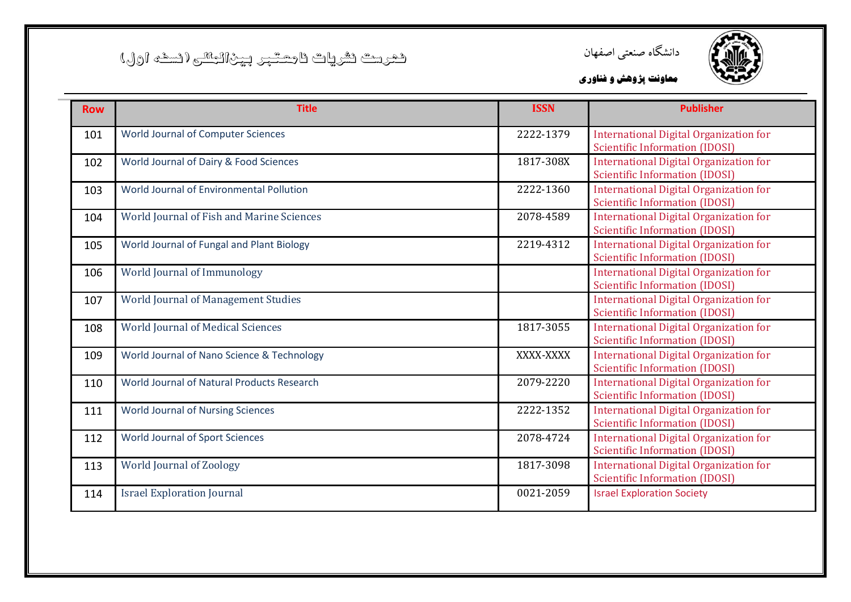



| <b>Row</b> | <b>Title</b>                               | <b>ISSN</b> | <b>Publisher</b>                                                                       |
|------------|--------------------------------------------|-------------|----------------------------------------------------------------------------------------|
| 101        | World Journal of Computer Sciences         | 2222-1379   | <b>International Digital Organization for</b><br><b>Scientific Information (IDOSI)</b> |
| 102        | World Journal of Dairy & Food Sciences     | 1817-308X   | <b>International Digital Organization for</b><br><b>Scientific Information (IDOSI)</b> |
| 103        | World Journal of Environmental Pollution   | 2222-1360   | <b>International Digital Organization for</b><br><b>Scientific Information (IDOSI)</b> |
| 104        | World Journal of Fish and Marine Sciences  | 2078-4589   | <b>International Digital Organization for</b><br><b>Scientific Information (IDOSI)</b> |
| 105        | World Journal of Fungal and Plant Biology  | 2219-4312   | <b>International Digital Organization for</b><br><b>Scientific Information (IDOSI)</b> |
| 106        | World Journal of Immunology                |             | <b>International Digital Organization for</b><br><b>Scientific Information (IDOSI)</b> |
| 107        | World Journal of Management Studies        |             | <b>International Digital Organization for</b><br><b>Scientific Information (IDOSI)</b> |
| 108        | <b>World Journal of Medical Sciences</b>   | 1817-3055   | <b>International Digital Organization for</b><br><b>Scientific Information (IDOSI)</b> |
| 109        | World Journal of Nano Science & Technology | XXXX-XXXX   | <b>International Digital Organization for</b><br><b>Scientific Information (IDOSI)</b> |
| 110        | World Journal of Natural Products Research | 2079-2220   | <b>International Digital Organization for</b><br><b>Scientific Information (IDOSI)</b> |
| 111        | <b>World Journal of Nursing Sciences</b>   | 2222-1352   | <b>International Digital Organization for</b><br><b>Scientific Information (IDOSI)</b> |
| 112        | <b>World Journal of Sport Sciences</b>     | 2078-4724   | <b>International Digital Organization for</b><br><b>Scientific Information (IDOSI)</b> |
| 113        | <b>World Journal of Zoology</b>            | 1817-3098   | <b>International Digital Organization for</b><br><b>Scientific Information (IDOSI)</b> |
| 114        | <b>Israel Exploration Journal</b>          | 0021-2059   | <b>Israel Exploration Society</b>                                                      |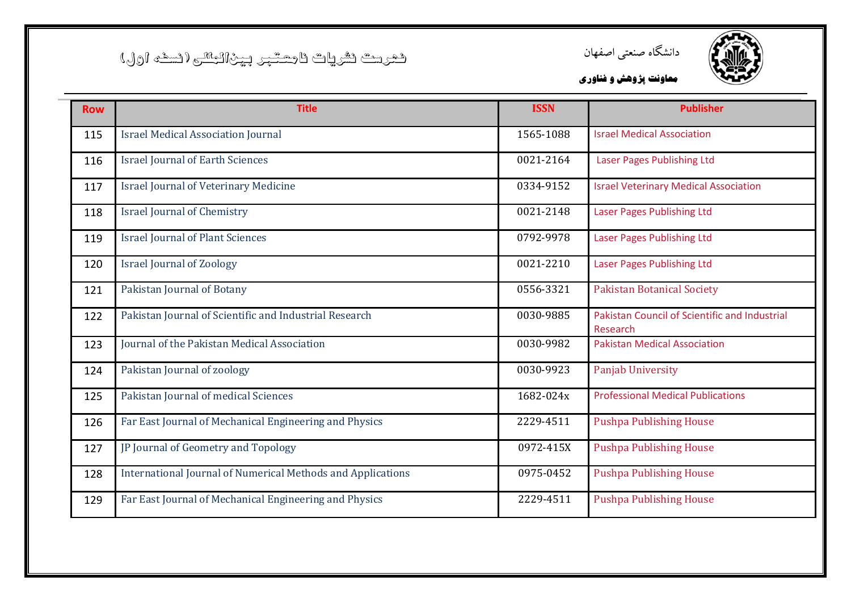



| <b>Row</b> | <b>Title</b>                                                       | <b>ISSN</b> | <b>Publisher</b>                                          |
|------------|--------------------------------------------------------------------|-------------|-----------------------------------------------------------|
| 115        | <b>Israel Medical Association Journal</b>                          | 1565-1088   | <b>Israel Medical Association</b>                         |
| 116        | <b>Israel Journal of Earth Sciences</b>                            | 0021-2164   | Laser Pages Publishing Ltd                                |
| 117        | <b>Israel Journal of Veterinary Medicine</b>                       | 0334-9152   | <b>Israel Veterinary Medical Association</b>              |
| 118        | <b>Israel Journal of Chemistry</b>                                 | 0021-2148   | Laser Pages Publishing Ltd                                |
| 119        | <b>Israel Journal of Plant Sciences</b>                            | 0792-9978   | Laser Pages Publishing Ltd                                |
| 120        | <b>Israel Journal of Zoology</b>                                   | 0021-2210   | Laser Pages Publishing Ltd                                |
| 121        | Pakistan Journal of Botany                                         | 0556-3321   | <b>Pakistan Botanical Society</b>                         |
| 122        | Pakistan Journal of Scientific and Industrial Research             | 0030-9885   | Pakistan Council of Scientific and Industrial<br>Research |
| 123        | Journal of the Pakistan Medical Association                        | 0030-9982   | <b>Pakistan Medical Association</b>                       |
| 124        | Pakistan Journal of zoology                                        | 0030-9923   | Panjab University                                         |
| 125        | Pakistan Journal of medical Sciences                               | 1682-024x   | <b>Professional Medical Publications</b>                  |
| 126        | Far East Journal of Mechanical Engineering and Physics             | 2229-4511   | <b>Pushpa Publishing House</b>                            |
| 127        | JP Journal of Geometry and Topology                                | 0972-415X   | <b>Pushpa Publishing House</b>                            |
| 128        | <b>International Journal of Numerical Methods and Applications</b> | 0975-0452   | <b>Pushpa Publishing House</b>                            |
| 129        | Far East Journal of Mechanical Engineering and Physics             | 2229-4511   | <b>Pushpa Publishing House</b>                            |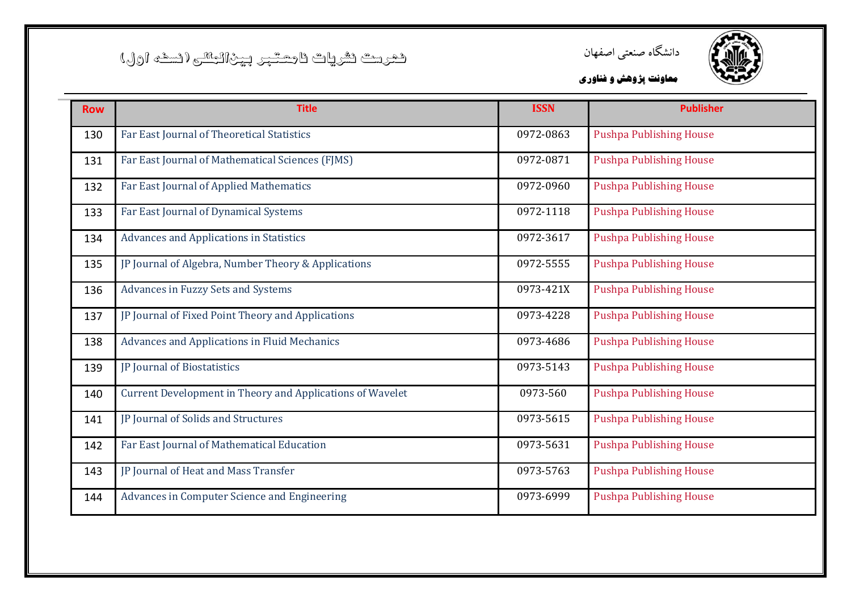



| <b>Row</b> | <b>Title</b>                                              | <b>ISSN</b> | <b>Publisher</b>               |
|------------|-----------------------------------------------------------|-------------|--------------------------------|
| 130        | Far East Journal of Theoretical Statistics                | 0972-0863   | <b>Pushpa Publishing House</b> |
| 131        | Far East Journal of Mathematical Sciences (FJMS)          | 0972-0871   | <b>Pushpa Publishing House</b> |
| 132        | Far East Journal of Applied Mathematics                   | 0972-0960   | <b>Pushpa Publishing House</b> |
| 133        | Far East Journal of Dynamical Systems                     | 0972-1118   | <b>Pushpa Publishing House</b> |
| 134        | <b>Advances and Applications in Statistics</b>            | 0972-3617   | <b>Pushpa Publishing House</b> |
| 135        | JP Journal of Algebra, Number Theory & Applications       | 0972-5555   | <b>Pushpa Publishing House</b> |
| 136        | <b>Advances in Fuzzy Sets and Systems</b>                 | 0973-421X   | <b>Pushpa Publishing House</b> |
| 137        | JP Journal of Fixed Point Theory and Applications         | 0973-4228   | <b>Pushpa Publishing House</b> |
| 138        | <b>Advances and Applications in Fluid Mechanics</b>       | 0973-4686   | <b>Pushpa Publishing House</b> |
| 139        | JP Journal of Biostatistics                               | 0973-5143   | <b>Pushpa Publishing House</b> |
| 140        | Current Development in Theory and Applications of Wavelet | 0973-560    | <b>Pushpa Publishing House</b> |
| 141        | JP Journal of Solids and Structures                       | 0973-5615   | <b>Pushpa Publishing House</b> |
| 142        | Far East Journal of Mathematical Education                | 0973-5631   | <b>Pushpa Publishing House</b> |
| 143        | JP Journal of Heat and Mass Transfer                      | 0973-5763   | <b>Pushpa Publishing House</b> |
| 144        | Advances in Computer Science and Engineering              | 0973-6999   | <b>Pushpa Publishing House</b> |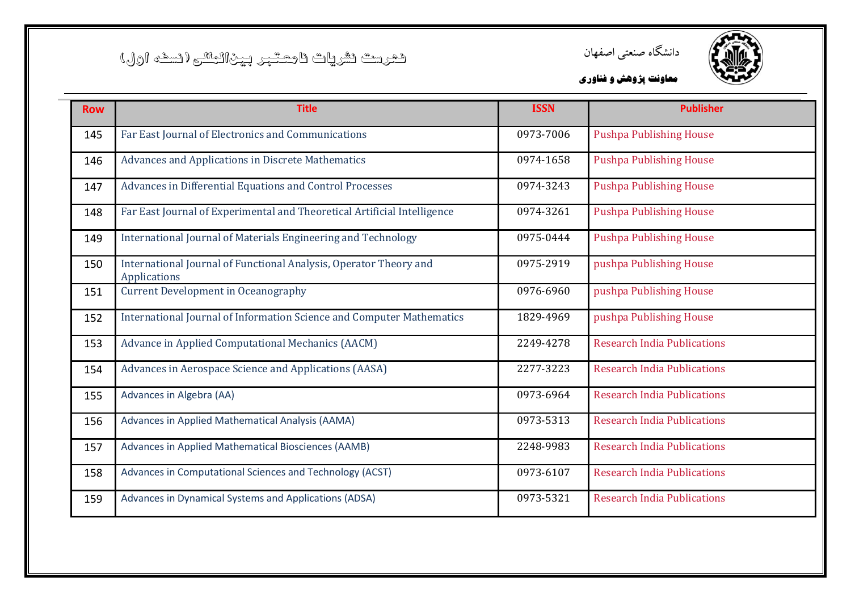



| <b>Row</b> | <b>Title</b>                                                                      | <b>ISSN</b> | <b>Publisher</b>                   |
|------------|-----------------------------------------------------------------------------------|-------------|------------------------------------|
| 145        | Far East Journal of Electronics and Communications                                | 0973-7006   | <b>Pushpa Publishing House</b>     |
| 146        | Advances and Applications in Discrete Mathematics                                 | 0974-1658   | <b>Pushpa Publishing House</b>     |
| 147        | Advances in Differential Equations and Control Processes                          | 0974-3243   | <b>Pushpa Publishing House</b>     |
| 148        | Far East Journal of Experimental and Theoretical Artificial Intelligence          | 0974-3261   | <b>Pushpa Publishing House</b>     |
| 149        | International Journal of Materials Engineering and Technology                     | 0975-0444   | <b>Pushpa Publishing House</b>     |
| 150        | International Journal of Functional Analysis, Operator Theory and<br>Applications | 0975-2919   | pushpa Publishing House            |
| 151        | <b>Current Development in Oceanography</b>                                        | 0976-6960   | pushpa Publishing House            |
| 152        | International Journal of Information Science and Computer Mathematics             | 1829-4969   | pushpa Publishing House            |
| 153        | Advance in Applied Computational Mechanics (AACM)                                 | 2249-4278   | <b>Research India Publications</b> |
| 154        | Advances in Aerospace Science and Applications (AASA)                             | 2277-3223   | <b>Research India Publications</b> |
| 155        | Advances in Algebra (AA)                                                          | 0973-6964   | <b>Research India Publications</b> |
| 156        | Advances in Applied Mathematical Analysis (AAMA)                                  | 0973-5313   | <b>Research India Publications</b> |
| 157        | Advances in Applied Mathematical Biosciences (AAMB)                               | 2248-9983   | <b>Research India Publications</b> |
| 158        | Advances in Computational Sciences and Technology (ACST)                          | 0973-6107   | <b>Research India Publications</b> |
| 159        | Advances in Dynamical Systems and Applications (ADSA)                             | 0973-5321   | <b>Research India Publications</b> |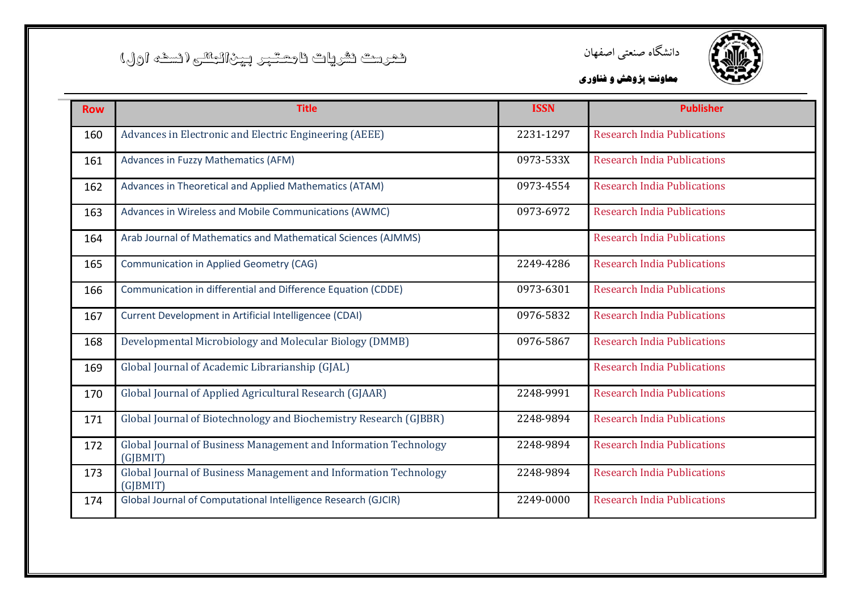



| <b>Row</b> | <b>Title</b>                                                                 | <b>ISSN</b> | <b>Publisher</b>                   |
|------------|------------------------------------------------------------------------------|-------------|------------------------------------|
| 160        | Advances in Electronic and Electric Engineering (AEEE)                       | 2231-1297   | <b>Research India Publications</b> |
| 161        | Advances in Fuzzy Mathematics (AFM)                                          | 0973-533X   | <b>Research India Publications</b> |
| 162        | Advances in Theoretical and Applied Mathematics (ATAM)                       | 0973-4554   | <b>Research India Publications</b> |
| 163        | Advances in Wireless and Mobile Communications (AWMC)                        | 0973-6972   | <b>Research India Publications</b> |
| 164        | Arab Journal of Mathematics and Mathematical Sciences (AJMMS)                |             | <b>Research India Publications</b> |
| 165        | <b>Communication in Applied Geometry (CAG)</b>                               | 2249-4286   | <b>Research India Publications</b> |
| 166        | Communication in differential and Difference Equation (CDDE)                 | 0973-6301   | <b>Research India Publications</b> |
| 167        | Current Development in Artificial Intelligencee (CDAI)                       | 0976-5832   | <b>Research India Publications</b> |
| 168        | Developmental Microbiology and Molecular Biology (DMMB)                      | 0976-5867   | <b>Research India Publications</b> |
| 169        | Global Journal of Academic Librarianship (GJAL)                              |             | <b>Research India Publications</b> |
| 170        | Global Journal of Applied Agricultural Research (GJAAR)                      | 2248-9991   | <b>Research India Publications</b> |
| 171        | Global Journal of Biotechnology and Biochemistry Research (GJBBR)            | 2248-9894   | <b>Research India Publications</b> |
| 172        | Global Journal of Business Management and Information Technology<br>(G BMIT) | 2248-9894   | <b>Research India Publications</b> |
| 173        | Global Journal of Business Management and Information Technology<br>(G BMIT) | 2248-9894   | <b>Research India Publications</b> |
| 174        | Global Journal of Computational Intelligence Research (GJCIR)                | 2249-0000   | <b>Research India Publications</b> |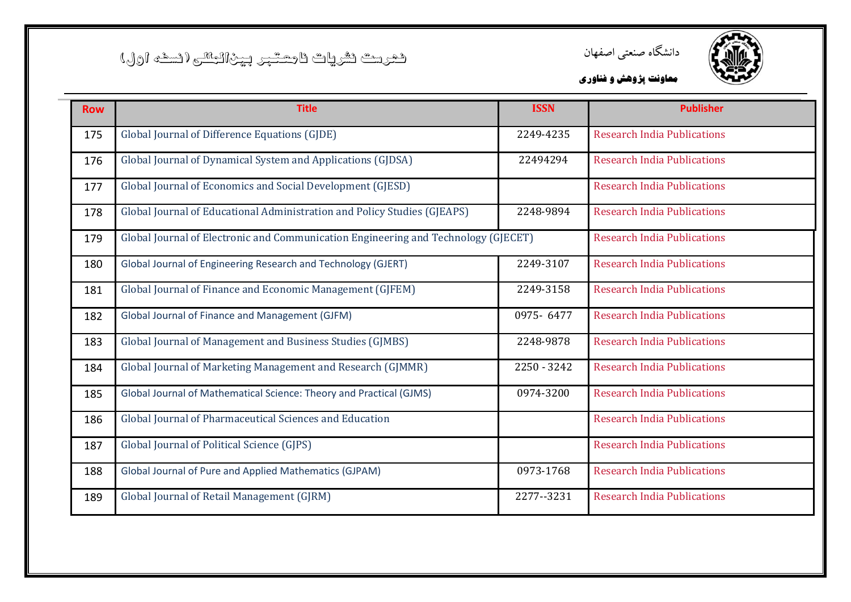



| <b>Row</b> | <b>Title</b>                                                                       | <b>ISSN</b> | <b>Publisher</b>                   |
|------------|------------------------------------------------------------------------------------|-------------|------------------------------------|
| 175        | Global Journal of Difference Equations (GJDE)                                      | 2249-4235   | <b>Research India Publications</b> |
| 176        | Global Journal of Dynamical System and Applications (GJDSA)                        | 22494294    | <b>Research India Publications</b> |
| 177        | Global Journal of Economics and Social Development (GJESD)                         |             | <b>Research India Publications</b> |
| 178        | Global Journal of Educational Administration and Policy Studies (GJEAPS)           | 2248-9894   | <b>Research India Publications</b> |
| 179        | Global Journal of Electronic and Communication Engineering and Technology (GJECET) |             | <b>Research India Publications</b> |
| 180        | Global Journal of Engineering Research and Technology (GJERT)                      | 2249-3107   | <b>Research India Publications</b> |
| 181        | Global Journal of Finance and Economic Management (GJFEM)                          | 2249-3158   | <b>Research India Publications</b> |
| 182        | Global Journal of Finance and Management (GJFM)                                    | 0975-6477   | <b>Research India Publications</b> |
| 183        | Global Journal of Management and Business Studies (GJMBS)                          | 2248-9878   | <b>Research India Publications</b> |
| 184        | Global Journal of Marketing Management and Research (GJMMR)                        | 2250 - 3242 | <b>Research India Publications</b> |
| 185        | Global Journal of Mathematical Science: Theory and Practical (GJMS)                | 0974-3200   | <b>Research India Publications</b> |
| 186        | Global Journal of Pharmaceutical Sciences and Education                            |             | <b>Research India Publications</b> |
| 187        | Global Journal of Political Science (GJPS)                                         |             | <b>Research India Publications</b> |
| 188        | Global Journal of Pure and Applied Mathematics (GJPAM)                             | 0973-1768   | <b>Research India Publications</b> |
| 189        | Global Journal of Retail Management (GJRM)                                         | 2277--3231  | <b>Research India Publications</b> |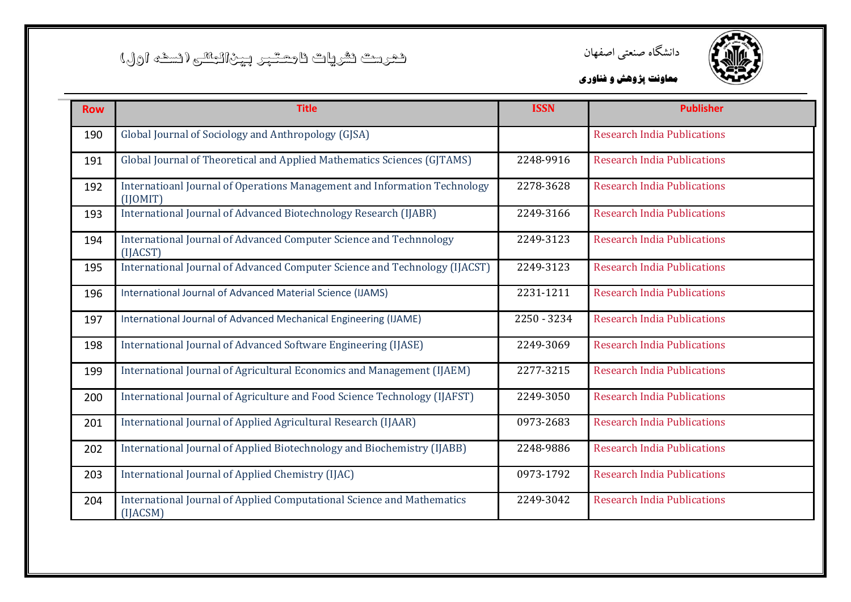



| <b>Row</b> | <b>Title</b>                                                                          | <b>ISSN</b> | <b>Publisher</b>                   |
|------------|---------------------------------------------------------------------------------------|-------------|------------------------------------|
| 190        | Global Journal of Sociology and Anthropology (GJSA)                                   |             | <b>Research India Publications</b> |
| 191        | Global Journal of Theoretical and Applied Mathematics Sciences (GJTAMS)               | 2248-9916   | <b>Research India Publications</b> |
| 192        | Internatioanl Journal of Operations Management and Information Technology<br>(IIOMIT) | 2278-3628   | <b>Research India Publications</b> |
| 193        | International Journal of Advanced Biotechnology Research (IJABR)                      | 2249-3166   | <b>Research India Publications</b> |
| 194        | International Journal of Advanced Computer Science and Technnology<br>(IIACST)        | 2249-3123   | <b>Research India Publications</b> |
| 195        | International Journal of Advanced Computer Science and Technology (IJACST)            | 2249-3123   | <b>Research India Publications</b> |
| 196        | International Journal of Advanced Material Science (IJAMS)                            | 2231-1211   | <b>Research India Publications</b> |
| 197        | International Journal of Advanced Mechanical Engineering (IJAME)                      | 2250 - 3234 | <b>Research India Publications</b> |
| 198        | International Journal of Advanced Software Engineering (IJASE)                        | 2249-3069   | <b>Research India Publications</b> |
| 199        | International Journal of Agricultural Economics and Management (IJAEM)                | 2277-3215   | <b>Research India Publications</b> |
| 200        | International Journal of Agriculture and Food Science Technology (IJAFST)             | 2249-3050   | <b>Research India Publications</b> |
| 201        | International Journal of Applied Agricultural Research (IJAAR)                        | 0973-2683   | <b>Research India Publications</b> |
| 202        | International Journal of Applied Biotechnology and Biochemistry (IJABB)               | 2248-9886   | <b>Research India Publications</b> |
| 203        | International Journal of Applied Chemistry (IJAC)                                     | 0973-1792   | <b>Research India Publications</b> |
| 204        | International Journal of Applied Computational Science and Mathematics<br>[IIACSM]    | 2249-3042   | <b>Research India Publications</b> |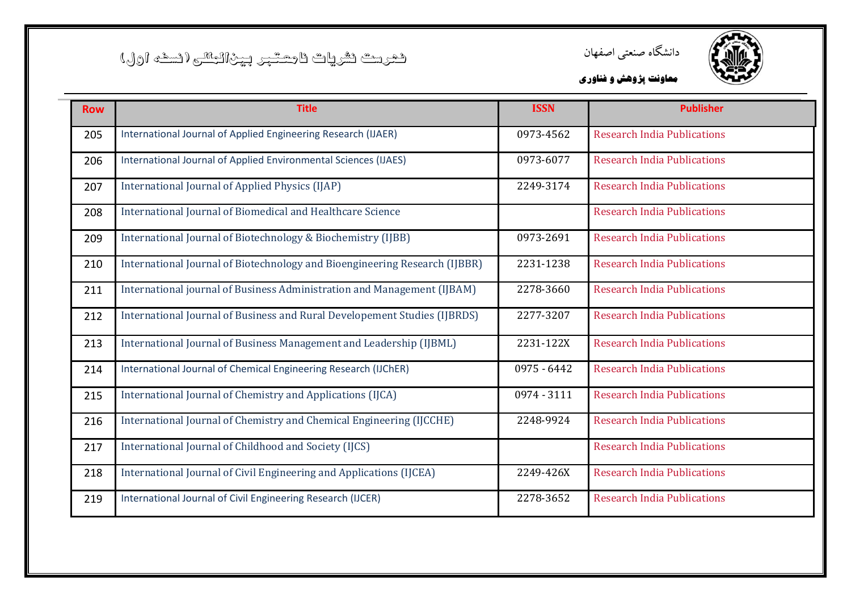

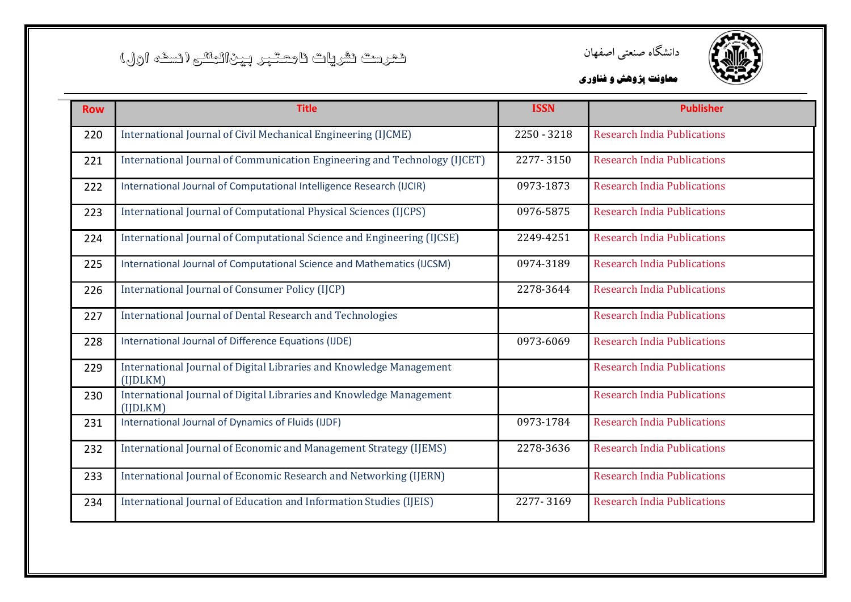



| <b>Row</b> | <b>Title</b>                                                                    | <b>ISSN</b> | <b>Publisher</b>                   |
|------------|---------------------------------------------------------------------------------|-------------|------------------------------------|
| 220        | International Journal of Civil Mechanical Engineering (IJCME)                   | 2250 - 3218 | <b>Research India Publications</b> |
| 221        | International Journal of Communication Engineering and Technology (IJCET)       | 2277-3150   | <b>Research India Publications</b> |
| 222        | International Journal of Computational Intelligence Research (IJCIR)            | 0973-1873   | <b>Research India Publications</b> |
| 223        | International Journal of Computational Physical Sciences (IJCPS)                | 0976-5875   | <b>Research India Publications</b> |
| 224        | International Journal of Computational Science and Engineering (IJCSE)          | 2249-4251   | <b>Research India Publications</b> |
| 225        | International Journal of Computational Science and Mathematics (IJCSM)          | 0974-3189   | <b>Research India Publications</b> |
| 226        | International Journal of Consumer Policy (IJCP)                                 | 2278-3644   | <b>Research India Publications</b> |
| 227        | International Journal of Dental Research and Technologies                       |             | <b>Research India Publications</b> |
| 228        | International Journal of Difference Equations (IJDE)                            | 0973-6069   | <b>Research India Publications</b> |
| 229        | International Journal of Digital Libraries and Knowledge Management<br>(IIDLKM) |             | <b>Research India Publications</b> |
| 230        | International Journal of Digital Libraries and Knowledge Management<br>(IIDLKM) |             | <b>Research India Publications</b> |
| 231        | International Journal of Dynamics of Fluids (IJDF)                              | 0973-1784   | <b>Research India Publications</b> |
| 232        | International Journal of Economic and Management Strategy (IJEMS)               | 2278-3636   | <b>Research India Publications</b> |
| 233        | International Journal of Economic Research and Networking (IJERN)               |             | <b>Research India Publications</b> |
| 234        | International Journal of Education and Information Studies (IJEIS)              | 2277-3169   | <b>Research India Publications</b> |
|            |                                                                                 |             |                                    |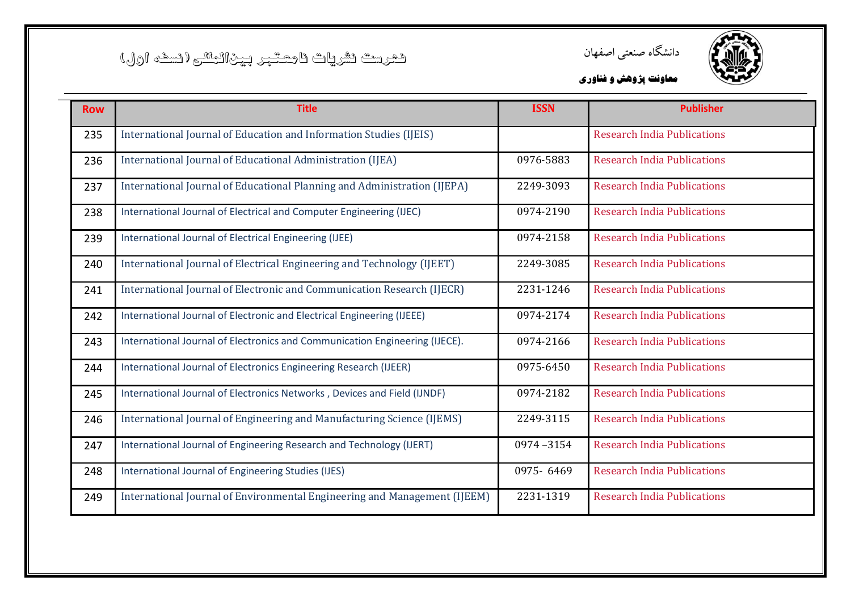



| <b>Row</b> | <b>Title</b>                                                                | <b>ISSN</b> | <b>Publisher</b>                   |
|------------|-----------------------------------------------------------------------------|-------------|------------------------------------|
| 235        | International Journal of Education and Information Studies (IJEIS)          |             | <b>Research India Publications</b> |
| 236        | International Journal of Educational Administration (IJEA)                  | 0976-5883   | <b>Research India Publications</b> |
| 237        | International Journal of Educational Planning and Administration (IJEPA)    | 2249-3093   | <b>Research India Publications</b> |
| 238        | International Journal of Electrical and Computer Engineering (IJEC)         | 0974-2190   | <b>Research India Publications</b> |
| 239        | International Journal of Electrical Engineering (IJEE)                      | 0974-2158   | <b>Research India Publications</b> |
| 240        | International Journal of Electrical Engineering and Technology (IJEET)      | 2249-3085   | <b>Research India Publications</b> |
| 241        | International Journal of Electronic and Communication Research (IJECR)      | 2231-1246   | <b>Research India Publications</b> |
| 242        | International Journal of Electronic and Electrical Engineering (IJEEE)      | 0974-2174   | <b>Research India Publications</b> |
| 243        | International Journal of Electronics and Communication Engineering (IJECE). | 0974-2166   | <b>Research India Publications</b> |
| 244        | International Journal of Electronics Engineering Research (IJEER)           | 0975-6450   | <b>Research India Publications</b> |
| 245        | International Journal of Electronics Networks, Devices and Field (IJNDF)    | 0974-2182   | <b>Research India Publications</b> |
| 246        | International Journal of Engineering and Manufacturing Science (IJEMS)      | 2249-3115   | <b>Research India Publications</b> |
| 247        | International Journal of Engineering Research and Technology (IJERT)        | 0974-3154   | <b>Research India Publications</b> |
| 248        | International Journal of Engineering Studies (IJES)                         | 0975-6469   | <b>Research India Publications</b> |
| 249        | International Journal of Environmental Engineering and Management (IJEEM)   | 2231-1319   | <b>Research India Publications</b> |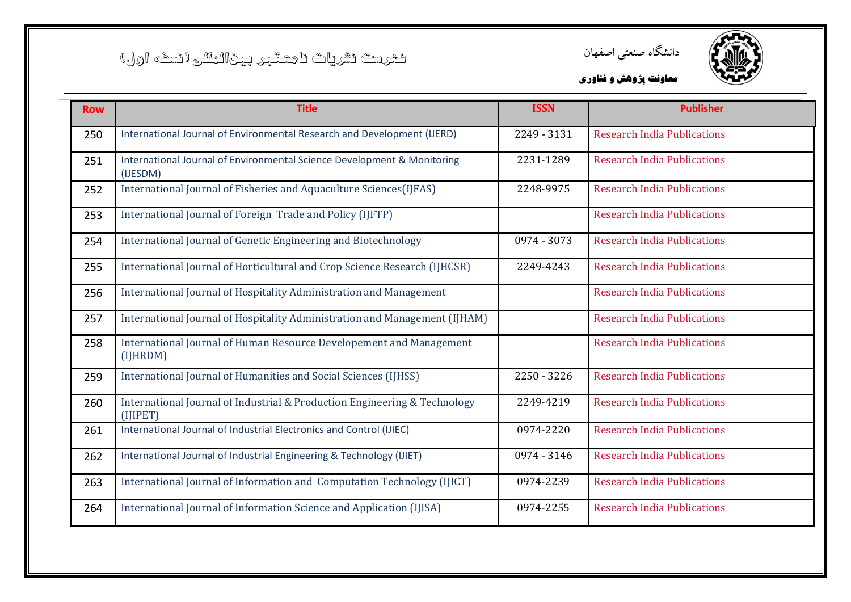



| <b>Row</b> | <b>Title</b>                                                                             | <b>ISSN</b> | <b>Publisher</b>                   |
|------------|------------------------------------------------------------------------------------------|-------------|------------------------------------|
| 250        | International Journal of Environmental Research and Development (IJERD)                  | 2249 - 3131 | <b>Research India Publications</b> |
| 251        | International Journal of Environmental Science Development & Monitoring<br>(IJESDM)      | 2231-1289   | <b>Research India Publications</b> |
| 252        | International Journal of Fisheries and Aquaculture Sciences(IJFAS)                       | 2248-9975   | <b>Research India Publications</b> |
| 253        | International Journal of Foreign Trade and Policy (IJFTP)                                |             | <b>Research India Publications</b> |
| 254        | International Journal of Genetic Engineering and Biotechnology                           | 0974 - 3073 | <b>Research India Publications</b> |
| 255        | International Journal of Horticultural and Crop Science Research (IJHCSR)                | 2249-4243   | <b>Research India Publications</b> |
| 256        | International Journal of Hospitality Administration and Management                       |             | <b>Research India Publications</b> |
| 257        | International Journal of Hospitality Administration and Management (IJHAM)               |             | <b>Research India Publications</b> |
| 258        | International Journal of Human Resource Developement and Management<br>(IJHRDM)          |             | <b>Research India Publications</b> |
| 259        | International Journal of Humanities and Social Sciences (IJHSS)                          | 2250 - 3226 | <b>Research India Publications</b> |
| 260        | International Journal of Industrial & Production Engineering & Technology<br>$(II$ IPET) | 2249-4219   | <b>Research India Publications</b> |
| 261        | International Journal of Industrial Electronics and Control (IJIEC)                      | 0974-2220   | <b>Research India Publications</b> |
| 262        | International Journal of Industrial Engineering & Technology (IJIET)                     | 0974 - 3146 | <b>Research India Publications</b> |
| 263        | International Journal of Information and Computation Technology (IJICT)                  | 0974-2239   | <b>Research India Publications</b> |
| 264        | International Journal of Information Science and Application (IJISA)                     | 0974-2255   | <b>Research India Publications</b> |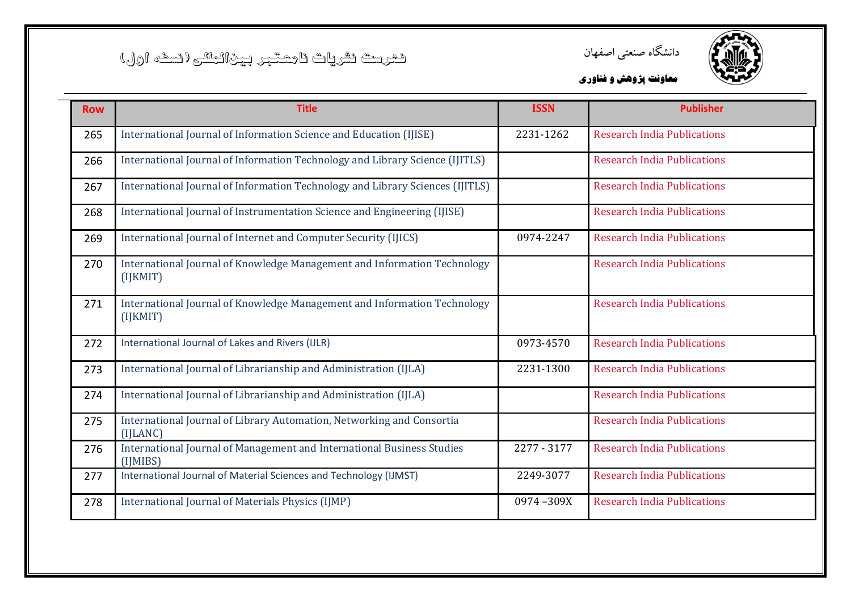



| <b>Row</b> | <b>Title</b>                                                                         | <b>ISSN</b> | <b>Publisher</b>                   |
|------------|--------------------------------------------------------------------------------------|-------------|------------------------------------|
| 265        | International Journal of Information Science and Education (IJISE)                   | 2231-1262   | <b>Research India Publications</b> |
| 266        | International Journal of Information Technology and Library Science (IJITLS)         |             | <b>Research India Publications</b> |
| 267        | International Journal of Information Technology and Library Sciences (IJITLS)        |             | <b>Research India Publications</b> |
| 268        | International Journal of Instrumentation Science and Engineering (IJISE)             |             | <b>Research India Publications</b> |
| 269        | International Journal of Internet and Computer Security (IJICS)                      | 0974-2247   | <b>Research India Publications</b> |
| 270        | International Journal of Knowledge Management and Information Technology<br>(IJKMIT) |             | <b>Research India Publications</b> |
| 271        | International Journal of Knowledge Management and Information Technology<br>(IJKMIT) |             | <b>Research India Publications</b> |
| 272        | International Journal of Lakes and Rivers (IJLR)                                     | 0973-4570   | <b>Research India Publications</b> |
| 273        | International Journal of Librarianship and Administration (IJLA)                     | 2231-1300   | <b>Research India Publications</b> |
| 274        | International Journal of Librarianship and Administration (IJLA)                     |             | <b>Research India Publications</b> |
| 275        | International Journal of Library Automation, Networking and Consortia<br>(IILANC)    |             | <b>Research India Publications</b> |
| 276        | International Journal of Management and International Business Studies<br>(IIMIBS)   | 2277 - 3177 | <b>Research India Publications</b> |
| 277        | International Journal of Material Sciences and Technology (IJMST)                    | 2249-3077   | <b>Research India Publications</b> |
| 278        | International Journal of Materials Physics (IJMP)                                    | 0974-309X   | <b>Research India Publications</b> |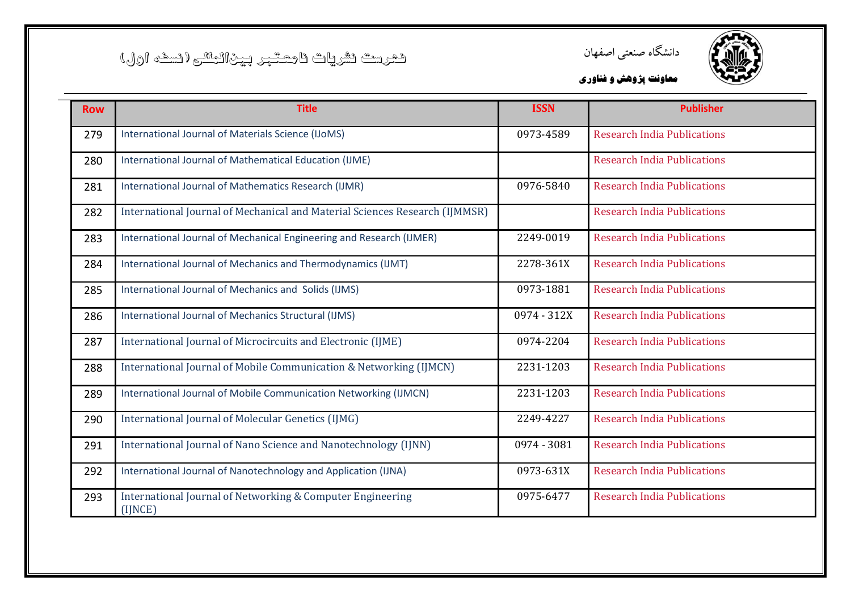



| <b>Row</b> | <b>Title</b>                                                                | <b>ISSN</b> | <b>Publisher</b>                   |
|------------|-----------------------------------------------------------------------------|-------------|------------------------------------|
| 279        | International Journal of Materials Science (IJoMS)                          | 0973-4589   | <b>Research India Publications</b> |
| 280        | International Journal of Mathematical Education (IJME)                      |             | <b>Research India Publications</b> |
| 281        | International Journal of Mathematics Research (IJMR)                        | 0976-5840   | <b>Research India Publications</b> |
| 282        | International Journal of Mechanical and Material Sciences Research (IJMMSR) |             | <b>Research India Publications</b> |
| 283        | International Journal of Mechanical Engineering and Research (IJMER)        | 2249-0019   | <b>Research India Publications</b> |
| 284        | International Journal of Mechanics and Thermodynamics (IJMT)                | 2278-361X   | <b>Research India Publications</b> |
| 285        | International Journal of Mechanics and Solids (IJMS)                        | 0973-1881   | <b>Research India Publications</b> |
| 286        | International Journal of Mechanics Structural (IJMS)                        | 0974 - 312X | <b>Research India Publications</b> |
| 287        | International Journal of Microcircuits and Electronic (IJME)                | 0974-2204   | <b>Research India Publications</b> |
| 288        | International Journal of Mobile Communication & Networking (IJMCN)          | 2231-1203   | <b>Research India Publications</b> |
| 289        | International Journal of Mobile Communication Networking (IJMCN)            | 2231-1203   | <b>Research India Publications</b> |
| 290        | International Journal of Molecular Genetics (IJMG)                          | 2249-4227   | <b>Research India Publications</b> |
| 291        | International Journal of Nano Science and Nanotechnology (IJNN)             | 0974 - 3081 | <b>Research India Publications</b> |
| 292        | International Journal of Nanotechnology and Application (IJNA)              | 0973-631X   | <b>Research India Publications</b> |
| 293        | International Journal of Networking & Computer Engineering<br>(IJNCE)       | 0975-6477   | <b>Research India Publications</b> |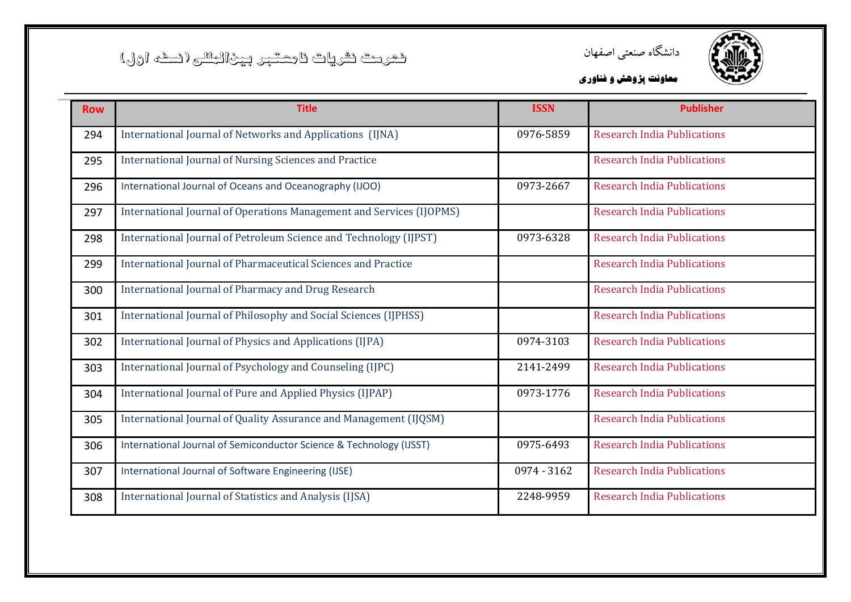



| <b>Row</b> | <b>Title</b>                                                         | <b>ISSN</b> | <b>Publisher</b>                   |
|------------|----------------------------------------------------------------------|-------------|------------------------------------|
| 294        | International Journal of Networks and Applications (IJNA)            | 0976-5859   | <b>Research India Publications</b> |
| 295        | <b>International Journal of Nursing Sciences and Practice</b>        |             | <b>Research India Publications</b> |
| 296        | International Journal of Oceans and Oceanography (IJOO)              | 0973-2667   | <b>Research India Publications</b> |
| 297        | International Journal of Operations Management and Services (IJOPMS) |             | <b>Research India Publications</b> |
| 298        | International Journal of Petroleum Science and Technology (IJPST)    | 0973-6328   | <b>Research India Publications</b> |
| 299        | International Journal of Pharmaceutical Sciences and Practice        |             | <b>Research India Publications</b> |
| 300        | International Journal of Pharmacy and Drug Research                  |             | <b>Research India Publications</b> |
| 301        | International Journal of Philosophy and Social Sciences (IJPHSS)     |             | <b>Research India Publications</b> |
| 302        | International Journal of Physics and Applications (IJPA)             | 0974-3103   | <b>Research India Publications</b> |
| 303        | International Journal of Psychology and Counseling (IJPC)            | 2141-2499   | <b>Research India Publications</b> |
| 304        | International Journal of Pure and Applied Physics (IJPAP)            | 0973-1776   | <b>Research India Publications</b> |
| 305        | International Journal of Quality Assurance and Management (IJQSM)    |             | <b>Research India Publications</b> |
| 306        | International Journal of Semiconductor Science & Technology (IJSST)  | 0975-6493   | <b>Research India Publications</b> |
| 307        | International Journal of Software Engineering (IJSE)                 | 0974 - 3162 | <b>Research India Publications</b> |
| 308        | International Journal of Statistics and Analysis (IJSA)              | 2248-9959   | <b>Research India Publications</b> |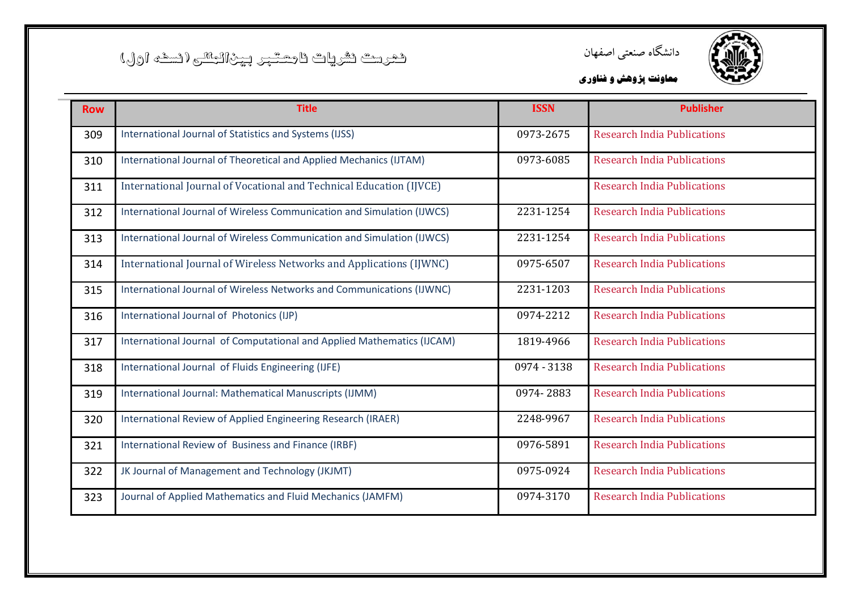



| <b>Row</b> | <b>Title</b>                                                           | <b>ISSN</b> | <b>Publisher</b>                   |
|------------|------------------------------------------------------------------------|-------------|------------------------------------|
| 309        | International Journal of Statistics and Systems (IJSS)                 | 0973-2675   | <b>Research India Publications</b> |
| 310        | International Journal of Theoretical and Applied Mechanics (IJTAM)     | 0973-6085   | <b>Research India Publications</b> |
| 311        | International Journal of Vocational and Technical Education (IJVCE)    |             | <b>Research India Publications</b> |
| 312        | International Journal of Wireless Communication and Simulation (IJWCS) | 2231-1254   | <b>Research India Publications</b> |
| 313        | International Journal of Wireless Communication and Simulation (IJWCS) | 2231-1254   | <b>Research India Publications</b> |
| 314        | International Journal of Wireless Networks and Applications (IJWNC)    | 0975-6507   | <b>Research India Publications</b> |
| 315        | International Journal of Wireless Networks and Communications (IJWNC)  | 2231-1203   | <b>Research India Publications</b> |
| 316        | International Journal of Photonics (IJP)                               | 0974-2212   | <b>Research India Publications</b> |
| 317        | International Journal of Computational and Applied Mathematics (IJCAM) | 1819-4966   | <b>Research India Publications</b> |
| 318        | International Journal of Fluids Engineering (IJFE)                     | 0974 - 3138 | <b>Research India Publications</b> |
| 319        | International Journal: Mathematical Manuscripts (IJMM)                 | 0974-2883   | <b>Research India Publications</b> |
| 320        | International Review of Applied Engineering Research (IRAER)           | 2248-9967   | <b>Research India Publications</b> |
| 321        | International Review of Business and Finance (IRBF)                    | 0976-5891   | <b>Research India Publications</b> |
| 322        | JK Journal of Management and Technology (JKJMT)                        | 0975-0924   | <b>Research India Publications</b> |
| 323        | Journal of Applied Mathematics and Fluid Mechanics (JAMFM)             | 0974-3170   | <b>Research India Publications</b> |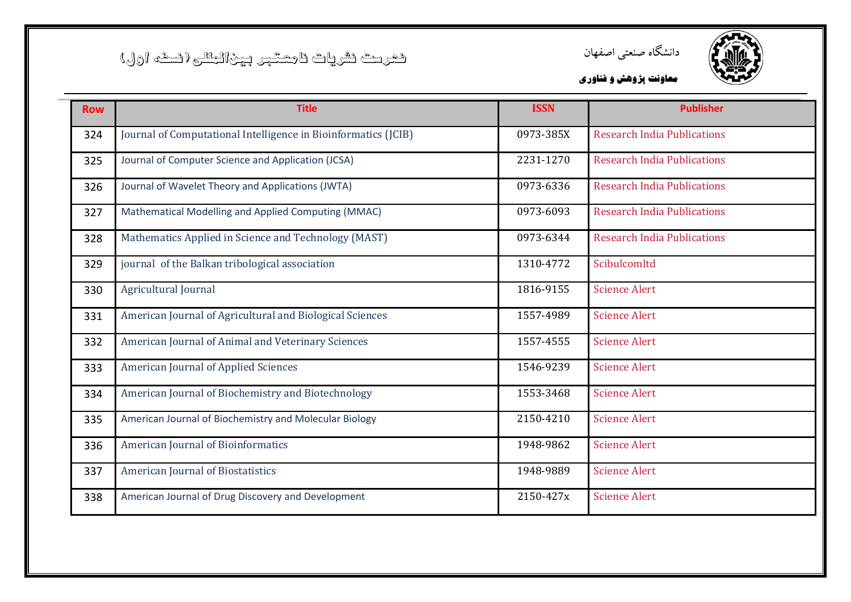



| <b>Row</b> | <b>Title</b>                                                   | <b>ISSN</b> | <b>Publisher</b>                   |
|------------|----------------------------------------------------------------|-------------|------------------------------------|
| 324        | Journal of Computational Intelligence in Bioinformatics (JCIB) | 0973-385X   | <b>Research India Publications</b> |
| 325        | Journal of Computer Science and Application (JCSA)             | 2231-1270   | <b>Research India Publications</b> |
| 326        | Journal of Wavelet Theory and Applications (JWTA)              | 0973-6336   | <b>Research India Publications</b> |
| 327        | Mathematical Modelling and Applied Computing (MMAC)            | 0973-6093   | <b>Research India Publications</b> |
| 328        | Mathematics Applied in Science and Technology (MAST)           | 0973-6344   | <b>Research India Publications</b> |
| 329        | journal of the Balkan tribological association                 | 1310-4772   | Scibulcomltd                       |
| 330        | <b>Agricultural Journal</b>                                    | 1816-9155   | <b>Science Alert</b>               |
| 331        | American Journal of Agricultural and Biological Sciences       | 1557-4989   | <b>Science Alert</b>               |
| 332        | American Journal of Animal and Veterinary Sciences             | 1557-4555   | <b>Science Alert</b>               |
| 333        | <b>American Journal of Applied Sciences</b>                    | 1546-9239   | <b>Science Alert</b>               |
| 334        | American Journal of Biochemistry and Biotechnology             | 1553-3468   | <b>Science Alert</b>               |
| 335        | American Journal of Biochemistry and Molecular Biology         | 2150-4210   | <b>Science Alert</b>               |
| 336        | American Journal of Bioinformatics                             | 1948-9862   | <b>Science Alert</b>               |
| 337        | <b>American Journal of Biostatistics</b>                       | 1948-9889   | <b>Science Alert</b>               |
| 338        | American Journal of Drug Discovery and Development             | 2150-427x   | <b>Science Alert</b>               |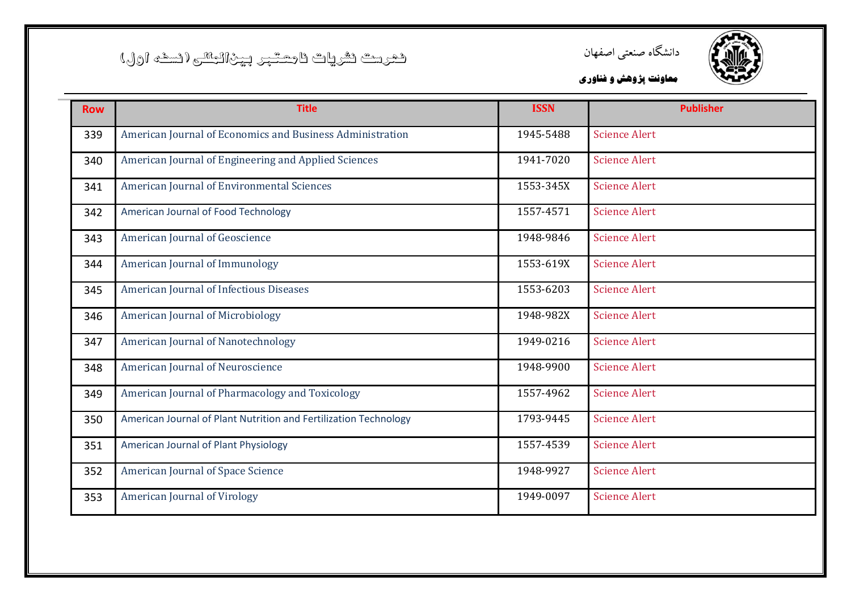![](_page_23_Picture_1.jpeg)

![](_page_23_Picture_2.jpeg)

| <b>Row</b> | <b>Title</b>                                                     | <b>ISSN</b> | <b>Publisher</b>     |
|------------|------------------------------------------------------------------|-------------|----------------------|
| 339        | American Journal of Economics and Business Administration        | 1945-5488   | <b>Science Alert</b> |
| 340        | American Journal of Engineering and Applied Sciences             | 1941-7020   | <b>Science Alert</b> |
| 341        | American Journal of Environmental Sciences                       | 1553-345X   | <b>Science Alert</b> |
| 342        | American Journal of Food Technology                              | 1557-4571   | <b>Science Alert</b> |
| 343        | American Journal of Geoscience                                   | 1948-9846   | <b>Science Alert</b> |
| 344        | American Journal of Immunology                                   | 1553-619X   | <b>Science Alert</b> |
| 345        | American Journal of Infectious Diseases                          | 1553-6203   | <b>Science Alert</b> |
| 346        | American Journal of Microbiology                                 | 1948-982X   | <b>Science Alert</b> |
| 347        | American Journal of Nanotechnology                               | 1949-0216   | <b>Science Alert</b> |
| 348        | American Journal of Neuroscience                                 | 1948-9900   | <b>Science Alert</b> |
| 349        | American Journal of Pharmacology and Toxicology                  | 1557-4962   | <b>Science Alert</b> |
| 350        | American Journal of Plant Nutrition and Fertilization Technology | 1793-9445   | <b>Science Alert</b> |
| 351        | American Journal of Plant Physiology                             | 1557-4539   | <b>Science Alert</b> |
| 352        | American Journal of Space Science                                | 1948-9927   | <b>Science Alert</b> |
| 353        | <b>American Journal of Virology</b>                              | 1949-0097   | <b>Science Alert</b> |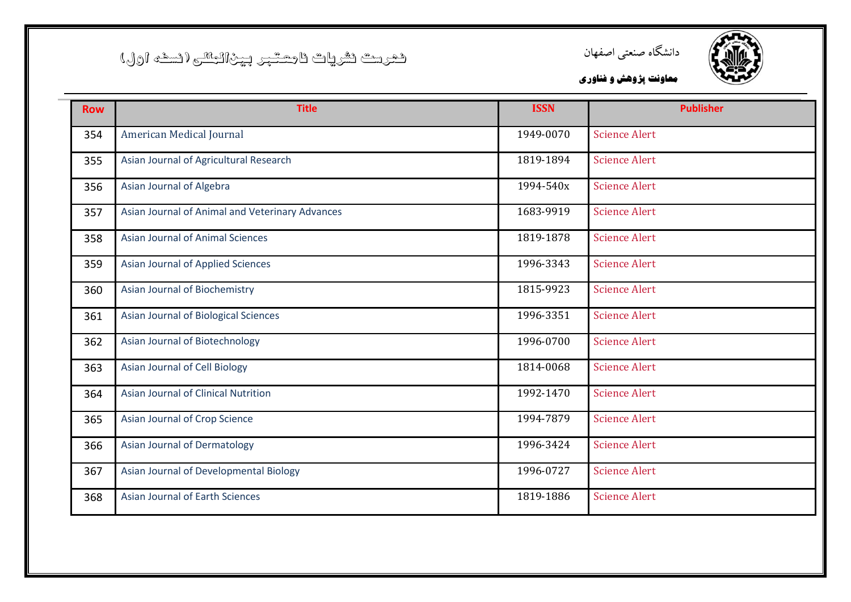![](_page_24_Picture_1.jpeg)

![](_page_24_Picture_2.jpeg)

| <b>Row</b> | <b>Title</b>                                    | <b>ISSN</b> | <b>Publisher</b>     |
|------------|-------------------------------------------------|-------------|----------------------|
| 354        | American Medical Journal                        | 1949-0070   | <b>Science Alert</b> |
| 355        | Asian Journal of Agricultural Research          | 1819-1894   | <b>Science Alert</b> |
| 356        | Asian Journal of Algebra                        | 1994-540x   | <b>Science Alert</b> |
| 357        | Asian Journal of Animal and Veterinary Advances | 1683-9919   | <b>Science Alert</b> |
| 358        | <b>Asian Journal of Animal Sciences</b>         | 1819-1878   | <b>Science Alert</b> |
| 359        | Asian Journal of Applied Sciences               | 1996-3343   | <b>Science Alert</b> |
| 360        | Asian Journal of Biochemistry                   | 1815-9923   | <b>Science Alert</b> |
| 361        | Asian Journal of Biological Sciences            | 1996-3351   | <b>Science Alert</b> |
| 362        | Asian Journal of Biotechnology                  | 1996-0700   | <b>Science Alert</b> |
| 363        | Asian Journal of Cell Biology                   | 1814-0068   | <b>Science Alert</b> |
| 364        | Asian Journal of Clinical Nutrition             | 1992-1470   | <b>Science Alert</b> |
| 365        | Asian Journal of Crop Science                   | 1994-7879   | <b>Science Alert</b> |
| 366        | <b>Asian Journal of Dermatology</b>             | 1996-3424   | <b>Science Alert</b> |
| 367        | Asian Journal of Developmental Biology          | 1996-0727   | <b>Science Alert</b> |
| 368        | <b>Asian Journal of Earth Sciences</b>          | 1819-1886   | <b>Science Alert</b> |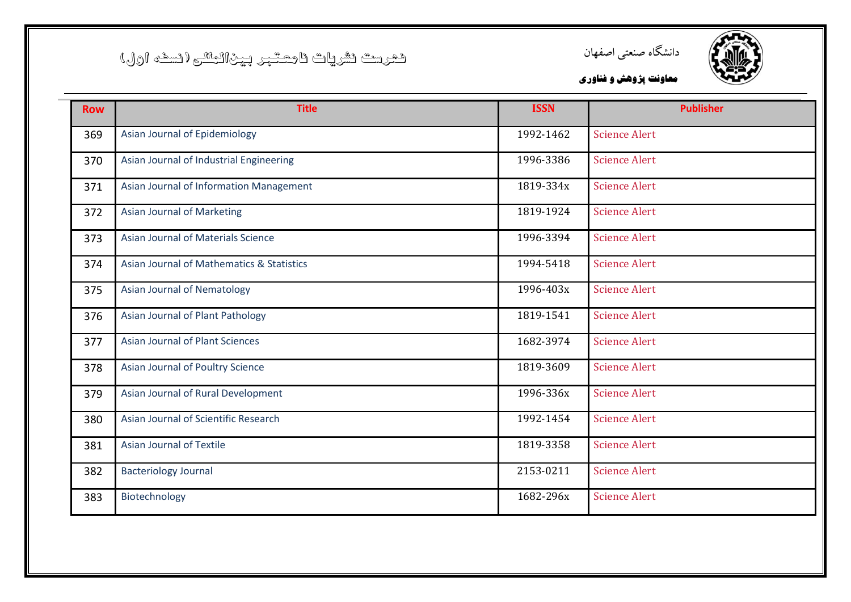![](_page_25_Picture_1.jpeg)

![](_page_25_Picture_2.jpeg)

| <b>Row</b> | <b>Title</b>                              | <b>ISSN</b> | <b>Publisher</b>     |
|------------|-------------------------------------------|-------------|----------------------|
| 369        | Asian Journal of Epidemiology             | 1992-1462   | <b>Science Alert</b> |
| 370        | Asian Journal of Industrial Engineering   | 1996-3386   | <b>Science Alert</b> |
| 371        | Asian Journal of Information Management   | 1819-334x   | <b>Science Alert</b> |
| 372        | <b>Asian Journal of Marketing</b>         | 1819-1924   | <b>Science Alert</b> |
| 373        | Asian Journal of Materials Science        | 1996-3394   | <b>Science Alert</b> |
| 374        | Asian Journal of Mathematics & Statistics | 1994-5418   | <b>Science Alert</b> |
| 375        | <b>Asian Journal of Nematology</b>        | 1996-403x   | <b>Science Alert</b> |
| 376        | Asian Journal of Plant Pathology          | 1819-1541   | <b>Science Alert</b> |
| 377        | <b>Asian Journal of Plant Sciences</b>    | 1682-3974   | <b>Science Alert</b> |
| 378        | Asian Journal of Poultry Science          | 1819-3609   | <b>Science Alert</b> |
| 379        | Asian Journal of Rural Development        | 1996-336x   | <b>Science Alert</b> |
| 380        | Asian Journal of Scientific Research      | 1992-1454   | <b>Science Alert</b> |
| 381        | <b>Asian Journal of Textile</b>           | 1819-3358   | <b>Science Alert</b> |
| 382        | <b>Bacteriology Journal</b>               | 2153-0211   | <b>Science Alert</b> |
| 383        | Biotechnology                             | 1682-296x   | <b>Science Alert</b> |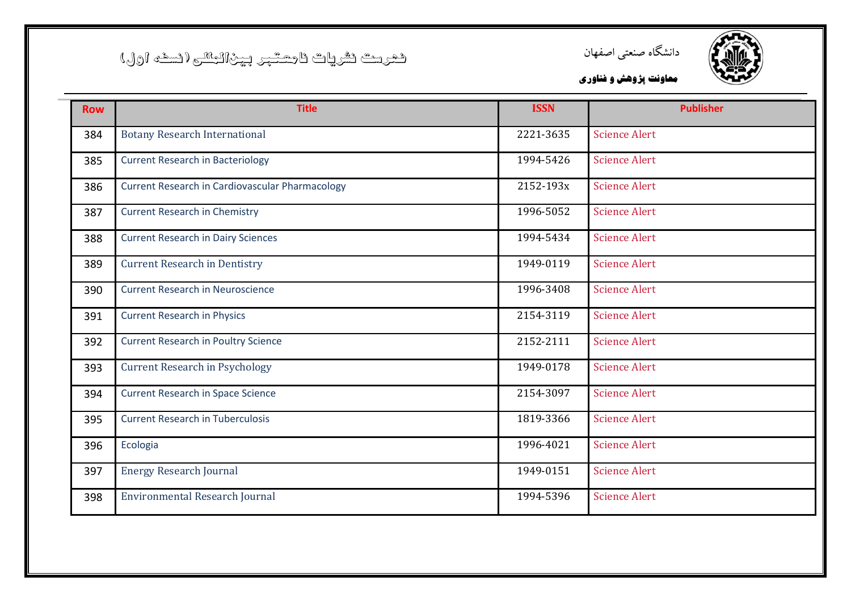![](_page_26_Picture_1.jpeg)

![](_page_26_Picture_2.jpeg)

| <b>Row</b> | <b>Title</b>                                    | <b>ISSN</b> | <b>Publisher</b>     |
|------------|-------------------------------------------------|-------------|----------------------|
| 384        | <b>Botany Research International</b>            | 2221-3635   | <b>Science Alert</b> |
| 385        | <b>Current Research in Bacteriology</b>         | 1994-5426   | <b>Science Alert</b> |
| 386        | Current Research in Cardiovascular Pharmacology | 2152-193x   | <b>Science Alert</b> |
| 387        | <b>Current Research in Chemistry</b>            | 1996-5052   | <b>Science Alert</b> |
| 388        | <b>Current Research in Dairy Sciences</b>       | 1994-5434   | <b>Science Alert</b> |
| 389        | <b>Current Research in Dentistry</b>            | 1949-0119   | <b>Science Alert</b> |
| 390        | <b>Current Research in Neuroscience</b>         | 1996-3408   | <b>Science Alert</b> |
| 391        | <b>Current Research in Physics</b>              | 2154-3119   | <b>Science Alert</b> |
| 392        | <b>Current Research in Poultry Science</b>      | 2152-2111   | <b>Science Alert</b> |
| 393        | <b>Current Research in Psychology</b>           | 1949-0178   | <b>Science Alert</b> |
| 394        | <b>Current Research in Space Science</b>        | 2154-3097   | <b>Science Alert</b> |
| 395        | <b>Current Research in Tuberculosis</b>         | 1819-3366   | <b>Science Alert</b> |
| 396        | Ecologia                                        | 1996-4021   | <b>Science Alert</b> |
| 397        | <b>Energy Research Journal</b>                  | 1949-0151   | <b>Science Alert</b> |
| 398        | Environmental Research Journal                  | 1994-5396   | <b>Science Alert</b> |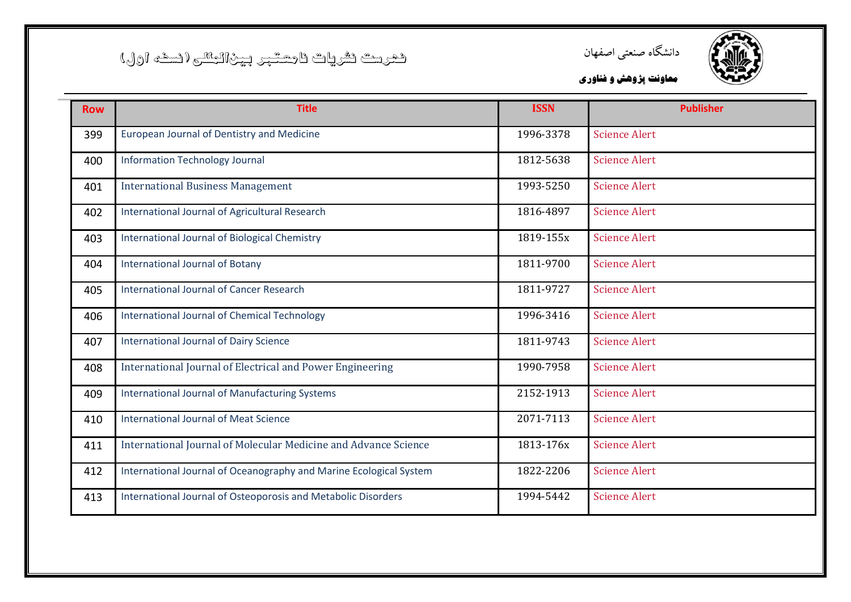![](_page_27_Picture_1.jpeg)

![](_page_27_Picture_2.jpeg)

| <b>Row</b> | <b>Title</b>                                                       | <b>ISSN</b> | <b>Publisher</b>     |
|------------|--------------------------------------------------------------------|-------------|----------------------|
| 399        | European Journal of Dentistry and Medicine                         | 1996-3378   | <b>Science Alert</b> |
| 400        | <b>Information Technology Journal</b>                              | 1812-5638   | <b>Science Alert</b> |
| 401        | <b>International Business Management</b>                           | 1993-5250   | <b>Science Alert</b> |
| 402        | International Journal of Agricultural Research                     | 1816-4897   | <b>Science Alert</b> |
| 403        | International Journal of Biological Chemistry                      | 1819-155x   | <b>Science Alert</b> |
| 404        | <b>International Journal of Botany</b>                             | 1811-9700   | <b>Science Alert</b> |
| 405        | <b>International Journal of Cancer Research</b>                    | 1811-9727   | <b>Science Alert</b> |
| 406        | International Journal of Chemical Technology                       | 1996-3416   | <b>Science Alert</b> |
| 407        | <b>International Journal of Dairy Science</b>                      | 1811-9743   | <b>Science Alert</b> |
| 408        | International Journal of Electrical and Power Engineering          | 1990-7958   | <b>Science Alert</b> |
| 409        | International Journal of Manufacturing Systems                     | 2152-1913   | <b>Science Alert</b> |
| 410        | <b>International Journal of Meat Science</b>                       | 2071-7113   | <b>Science Alert</b> |
| 411        | International Journal of Molecular Medicine and Advance Science    | 1813-176x   | <b>Science Alert</b> |
| 412        | International Journal of Oceanography and Marine Ecological System | 1822-2206   | <b>Science Alert</b> |
| 413        | International Journal of Osteoporosis and Metabolic Disorders      | 1994-5442   | <b>Science Alert</b> |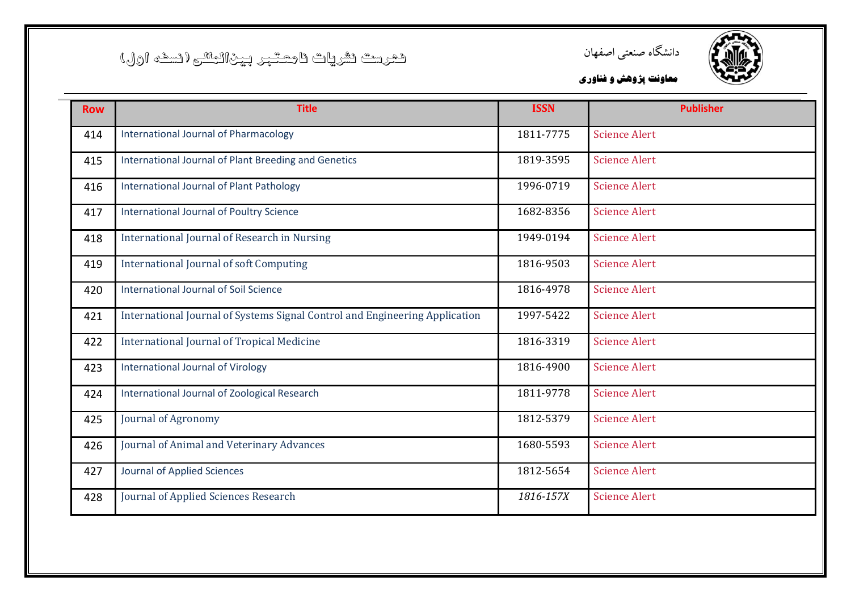![](_page_28_Picture_1.jpeg)

![](_page_28_Picture_2.jpeg)

| <b>Row</b> | <b>Title</b>                                                                | <b>ISSN</b> | <b>Publisher</b>     |
|------------|-----------------------------------------------------------------------------|-------------|----------------------|
| 414        | <b>International Journal of Pharmacology</b>                                | 1811-7775   | <b>Science Alert</b> |
| 415        | International Journal of Plant Breeding and Genetics                        | 1819-3595   | <b>Science Alert</b> |
| 416        | <b>International Journal of Plant Pathology</b>                             | 1996-0719   | <b>Science Alert</b> |
| 417        | International Journal of Poultry Science                                    | 1682-8356   | <b>Science Alert</b> |
| 418        | International Journal of Research in Nursing                                | 1949-0194   | <b>Science Alert</b> |
| 419        | <b>International Journal of soft Computing</b>                              | 1816-9503   | <b>Science Alert</b> |
| 420        | <b>International Journal of Soil Science</b>                                | 1816-4978   | <b>Science Alert</b> |
| 421        | International Journal of Systems Signal Control and Engineering Application | 1997-5422   | <b>Science Alert</b> |
| 422        | <b>International Journal of Tropical Medicine</b>                           | 1816-3319   | <b>Science Alert</b> |
| 423        | International Journal of Virology                                           | 1816-4900   | <b>Science Alert</b> |
| 424        | International Journal of Zoological Research                                | 1811-9778   | <b>Science Alert</b> |
| 425        | Journal of Agronomy                                                         | 1812-5379   | <b>Science Alert</b> |
| 426        | Journal of Animal and Veterinary Advances                                   | 1680-5593   | <b>Science Alert</b> |
| 427        | Journal of Applied Sciences                                                 | 1812-5654   | <b>Science Alert</b> |
| 428        | Journal of Applied Sciences Research                                        | 1816-157X   | <b>Science Alert</b> |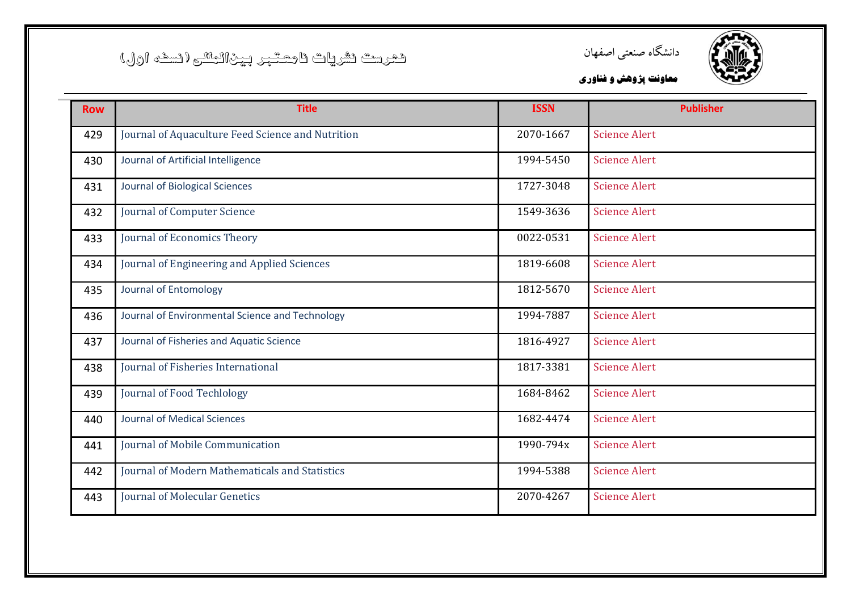![](_page_29_Picture_1.jpeg)

![](_page_29_Picture_2.jpeg)

| <b>Row</b> | <b>Title</b>                                      | <b>ISSN</b> | <b>Publisher</b>     |
|------------|---------------------------------------------------|-------------|----------------------|
| 429        | Journal of Aquaculture Feed Science and Nutrition | 2070-1667   | <b>Science Alert</b> |
| 430        | Journal of Artificial Intelligence                | 1994-5450   | <b>Science Alert</b> |
| 431        | Journal of Biological Sciences                    | 1727-3048   | <b>Science Alert</b> |
| 432        | Journal of Computer Science                       | 1549-3636   | <b>Science Alert</b> |
| 433        | Journal of Economics Theory                       | 0022-0531   | <b>Science Alert</b> |
| 434        | Journal of Engineering and Applied Sciences       | 1819-6608   | <b>Science Alert</b> |
| 435        | Journal of Entomology                             | 1812-5670   | <b>Science Alert</b> |
| 436        | Journal of Environmental Science and Technology   | 1994-7887   | <b>Science Alert</b> |
| 437        | Journal of Fisheries and Aquatic Science          | 1816-4927   | <b>Science Alert</b> |
| 438        | Journal of Fisheries International                | 1817-3381   | <b>Science Alert</b> |
| 439        | Journal of Food Techlology                        | 1684-8462   | <b>Science Alert</b> |
| 440        | <b>Journal of Medical Sciences</b>                | 1682-4474   | <b>Science Alert</b> |
| 441        | Journal of Mobile Communication                   | 1990-794x   | <b>Science Alert</b> |
| 442        | Journal of Modern Mathematicals and Statistics    | 1994-5388   | <b>Science Alert</b> |
| 443        | <b>Journal of Molecular Genetics</b>              | 2070-4267   | <b>Science Alert</b> |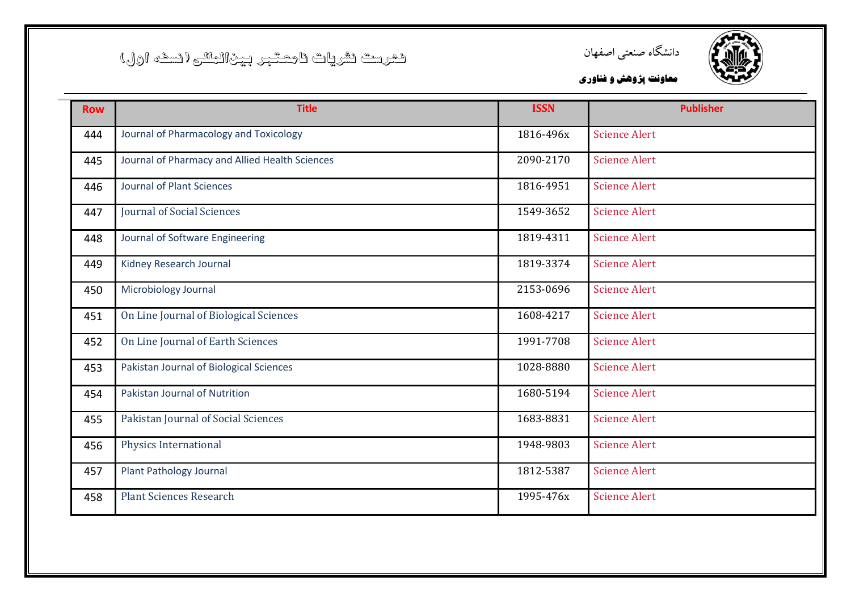![](_page_30_Picture_1.jpeg)

![](_page_30_Picture_2.jpeg)

| <b>Row</b> | <b>Title</b>                                   | <b>ISSN</b> | <b>Publisher</b>     |
|------------|------------------------------------------------|-------------|----------------------|
| 444        | Journal of Pharmacology and Toxicology         | 1816-496x   | <b>Science Alert</b> |
| 445        | Journal of Pharmacy and Allied Health Sciences | 2090-2170   | <b>Science Alert</b> |
| 446        | <b>Journal of Plant Sciences</b>               | 1816-4951   | <b>Science Alert</b> |
| 447        | <b>Journal of Social Sciences</b>              | 1549-3652   | <b>Science Alert</b> |
| 448        | Journal of Software Engineering                | 1819-4311   | <b>Science Alert</b> |
| 449        | Kidney Research Journal                        | 1819-3374   | <b>Science Alert</b> |
| 450        | Microbiology Journal                           | 2153-0696   | <b>Science Alert</b> |
| 451        | On Line Journal of Biological Sciences         | 1608-4217   | <b>Science Alert</b> |
| 452        | On Line Journal of Earth Sciences              | 1991-7708   | <b>Science Alert</b> |
| 453        | Pakistan Journal of Biological Sciences        | 1028-8880   | <b>Science Alert</b> |
| 454        | Pakistan Journal of Nutrition                  | 1680-5194   | <b>Science Alert</b> |
| 455        | Pakistan Journal of Social Sciences            | 1683-8831   | <b>Science Alert</b> |
| 456        | Physics International                          | 1948-9803   | <b>Science Alert</b> |
| 457        | Plant Pathology Journal                        | 1812-5387   | <b>Science Alert</b> |
| 458        | <b>Plant Sciences Research</b>                 | 1995-476x   | <b>Science Alert</b> |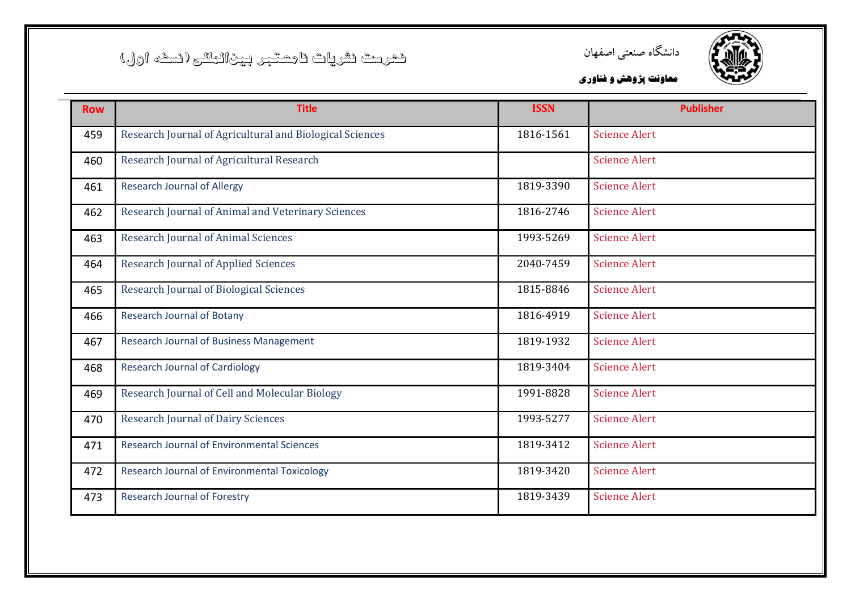![](_page_31_Picture_1.jpeg)

![](_page_31_Picture_2.jpeg)

| <b>Row</b> | <b>Title</b>                                             | <b>ISSN</b> | <b>Publisher</b>     |
|------------|----------------------------------------------------------|-------------|----------------------|
| 459        | Research Journal of Agricultural and Biological Sciences | 1816-1561   | <b>Science Alert</b> |
| 460        | Research Journal of Agricultural Research                |             | <b>Science Alert</b> |
| 461        | <b>Research Journal of Allergy</b>                       | 1819-3390   | <b>Science Alert</b> |
| 462        | Research Journal of Animal and Veterinary Sciences       | 1816-2746   | <b>Science Alert</b> |
| 463        | <b>Research Journal of Animal Sciences</b>               | 1993-5269   | <b>Science Alert</b> |
| 464        | <b>Research Journal of Applied Sciences</b>              | 2040-7459   | <b>Science Alert</b> |
| 465        | Research Journal of Biological Sciences                  | 1815-8846   | <b>Science Alert</b> |
| 466        | <b>Research Journal of Botany</b>                        | 1816-4919   | <b>Science Alert</b> |
| 467        | Research Journal of Business Management                  | 1819-1932   | <b>Science Alert</b> |
| 468        | <b>Research Journal of Cardiology</b>                    | 1819-3404   | <b>Science Alert</b> |
| 469        | Research Journal of Cell and Molecular Biology           | 1991-8828   | <b>Science Alert</b> |
| 470        | <b>Research Journal of Dairy Sciences</b>                | 1993-5277   | <b>Science Alert</b> |
| 471        | <b>Research Journal of Environmental Sciences</b>        | 1819-3412   | <b>Science Alert</b> |
| 472        | Research Journal of Environmental Toxicology             | 1819-3420   | <b>Science Alert</b> |
| 473        | Research Journal of Forestry                             | 1819-3439   | <b>Science Alert</b> |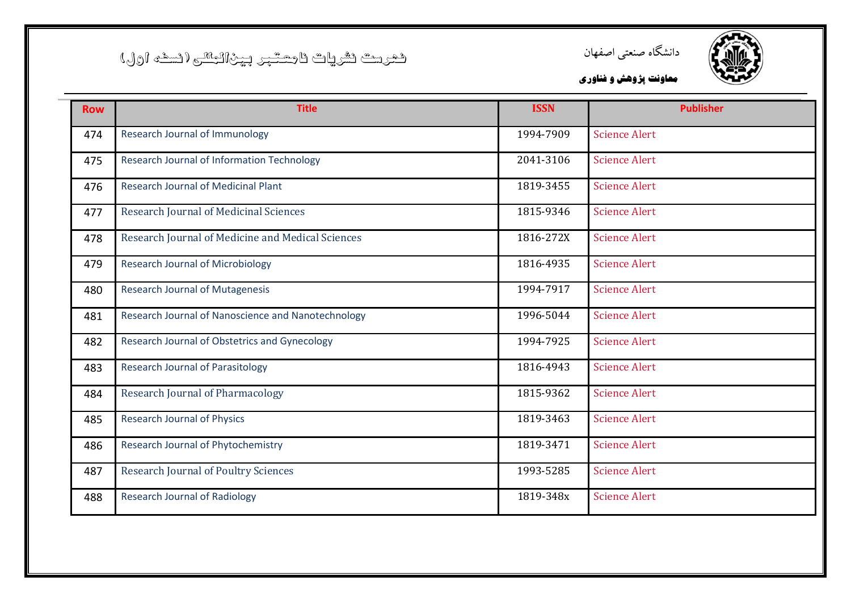![](_page_32_Picture_1.jpeg)

![](_page_32_Picture_2.jpeg)

| <b>Row</b> | <b>Title</b>                                       | <b>ISSN</b> | <b>Publisher</b>     |
|------------|----------------------------------------------------|-------------|----------------------|
| 474        | Research Journal of Immunology                     | 1994-7909   | <b>Science Alert</b> |
| 475        | Research Journal of Information Technology         | 2041-3106   | <b>Science Alert</b> |
| 476        | <b>Research Journal of Medicinal Plant</b>         | 1819-3455   | <b>Science Alert</b> |
| 477        | Research Journal of Medicinal Sciences             | 1815-9346   | <b>Science Alert</b> |
| 478        | Research Journal of Medicine and Medical Sciences  | 1816-272X   | <b>Science Alert</b> |
| 479        | <b>Research Journal of Microbiology</b>            | 1816-4935   | <b>Science Alert</b> |
| 480        | <b>Research Journal of Mutagenesis</b>             | 1994-7917   | <b>Science Alert</b> |
| 481        | Research Journal of Nanoscience and Nanotechnology | 1996-5044   | <b>Science Alert</b> |
| 482        | Research Journal of Obstetrics and Gynecology      | 1994-7925   | <b>Science Alert</b> |
| 483        | <b>Research Journal of Parasitology</b>            | 1816-4943   | <b>Science Alert</b> |
| 484        | <b>Research Journal of Pharmacology</b>            | 1815-9362   | <b>Science Alert</b> |
| 485        | <b>Research Journal of Physics</b>                 | 1819-3463   | <b>Science Alert</b> |
| 486        | Research Journal of Phytochemistry                 | 1819-3471   | <b>Science Alert</b> |
| 487        | <b>Research Journal of Poultry Sciences</b>        | 1993-5285   | <b>Science Alert</b> |
| 488        | <b>Research Journal of Radiology</b>               | 1819-348x   | <b>Science Alert</b> |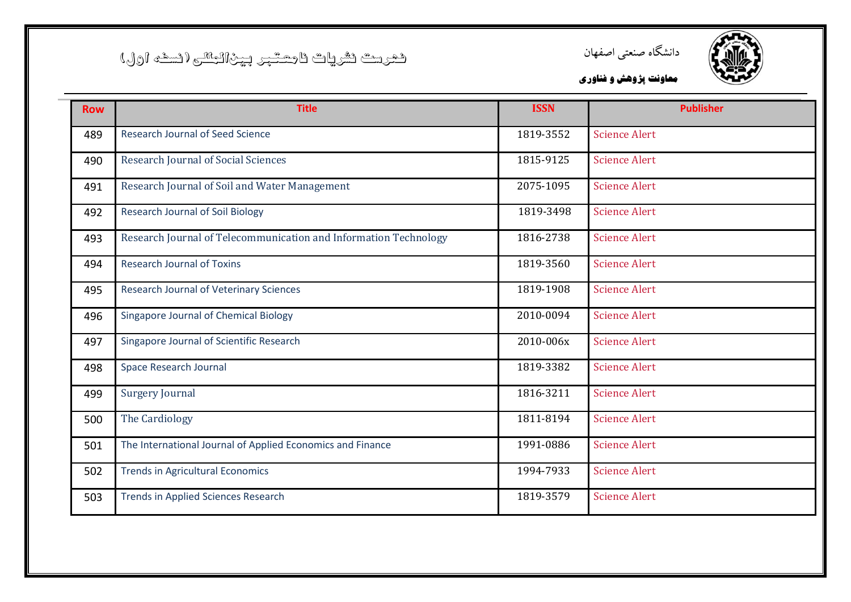![](_page_33_Picture_1.jpeg)

![](_page_33_Picture_2.jpeg)

| <b>Row</b> | <b>Title</b>                                                     | <b>ISSN</b> | <b>Publisher</b>     |
|------------|------------------------------------------------------------------|-------------|----------------------|
| 489        | <b>Research Journal of Seed Science</b>                          | 1819-3552   | <b>Science Alert</b> |
| 490        | <b>Research Journal of Social Sciences</b>                       | 1815-9125   | <b>Science Alert</b> |
| 491        | Research Journal of Soil and Water Management                    | 2075-1095   | <b>Science Alert</b> |
| 492        | <b>Research Journal of Soil Biology</b>                          | 1819-3498   | <b>Science Alert</b> |
| 493        | Research Journal of Telecommunication and Information Technology | 1816-2738   | <b>Science Alert</b> |
| 494        | <b>Research Journal of Toxins</b>                                | 1819-3560   | <b>Science Alert</b> |
| 495        | Research Journal of Veterinary Sciences                          | 1819-1908   | <b>Science Alert</b> |
| 496        | Singapore Journal of Chemical Biology                            | 2010-0094   | <b>Science Alert</b> |
| 497        | Singapore Journal of Scientific Research                         | 2010-006x   | <b>Science Alert</b> |
| 498        | Space Research Journal                                           | 1819-3382   | <b>Science Alert</b> |
| 499        | <b>Surgery Journal</b>                                           | 1816-3211   | <b>Science Alert</b> |
| 500        | The Cardiology                                                   | 1811-8194   | <b>Science Alert</b> |
| 501        | The International Journal of Applied Economics and Finance       | 1991-0886   | <b>Science Alert</b> |
| 502        | <b>Trends in Agricultural Economics</b>                          | 1994-7933   | <b>Science Alert</b> |
| 503        | <b>Trends in Applied Sciences Research</b>                       | 1819-3579   | <b>Science Alert</b> |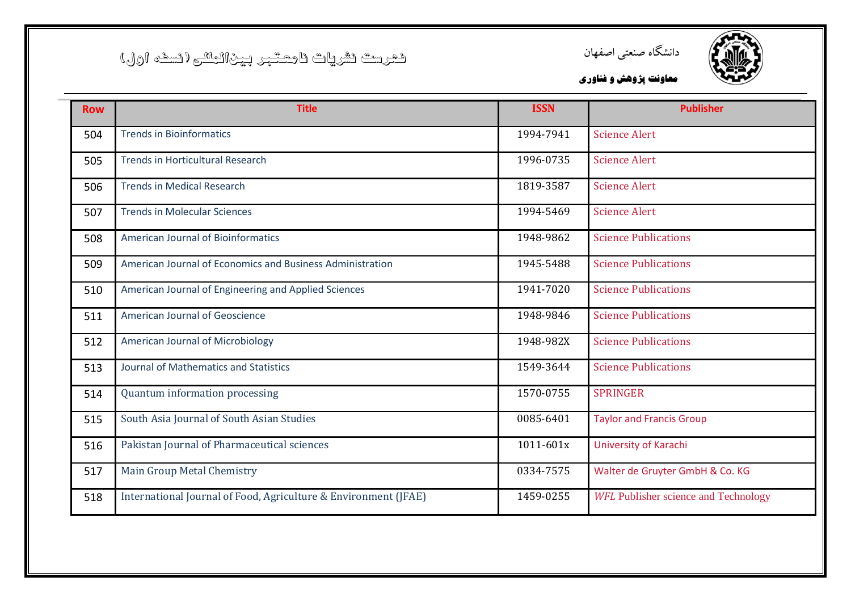![](_page_34_Picture_1.jpeg)

![](_page_34_Picture_2.jpeg)

| <b>Row</b> | <b>Title</b>                                                    | <b>ISSN</b> | <b>Publisher</b>                            |
|------------|-----------------------------------------------------------------|-------------|---------------------------------------------|
| 504        | <b>Trends in Bioinformatics</b>                                 | 1994-7941   | <b>Science Alert</b>                        |
| 505        | <b>Trends in Horticultural Research</b>                         | 1996-0735   | <b>Science Alert</b>                        |
| 506        | <b>Trends in Medical Research</b>                               | 1819-3587   | <b>Science Alert</b>                        |
| 507        | <b>Trends in Molecular Sciences</b>                             | 1994-5469   | <b>Science Alert</b>                        |
| 508        | <b>American Journal of Bioinformatics</b>                       | 1948-9862   | <b>Science Publications</b>                 |
| 509        | American Journal of Economics and Business Administration       | 1945-5488   | <b>Science Publications</b>                 |
| 510        | American Journal of Engineering and Applied Sciences            | 1941-7020   | <b>Science Publications</b>                 |
| 511        | American Journal of Geoscience                                  | 1948-9846   | <b>Science Publications</b>                 |
| 512        | American Journal of Microbiology                                | 1948-982X   | <b>Science Publications</b>                 |
| 513        | Journal of Mathematics and Statistics                           | 1549-3644   | <b>Science Publications</b>                 |
| 514        | Quantum information processing                                  | 1570-0755   | <b>SPRINGER</b>                             |
| 515        | South Asia Journal of South Asian Studies                       | 0085-6401   | <b>Taylor and Francis Group</b>             |
| 516        | Pakistan Journal of Pharmaceutical sciences                     | 1011-601x   | University of Karachi                       |
| 517        | Main Group Metal Chemistry                                      | 0334-7575   | Walter de Gruyter GmbH & Co. KG             |
| 518        | International Journal of Food, Agriculture & Environment (JFAE) | 1459-0255   | <b>WFL Publisher science and Technology</b> |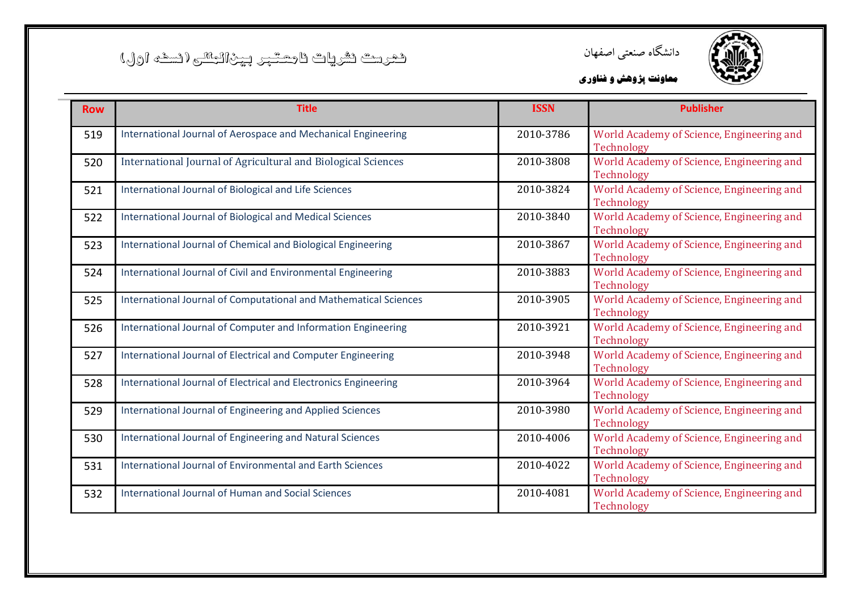![](_page_35_Picture_1.jpeg)

![](_page_35_Picture_2.jpeg)

| <b>Row</b> | <b>Title</b>                                                     | <b>ISSN</b> | <b>Publisher</b>                                        |
|------------|------------------------------------------------------------------|-------------|---------------------------------------------------------|
| 519        | International Journal of Aerospace and Mechanical Engineering    | 2010-3786   | World Academy of Science, Engineering and<br>Technology |
| 520        | International Journal of Agricultural and Biological Sciences    | 2010-3808   | World Academy of Science, Engineering and<br>Technology |
| 521        | International Journal of Biological and Life Sciences            | 2010-3824   | World Academy of Science, Engineering and<br>Technology |
| 522        | <b>International Journal of Biological and Medical Sciences</b>  | 2010-3840   | World Academy of Science, Engineering and<br>Technology |
| 523        | International Journal of Chemical and Biological Engineering     | 2010-3867   | World Academy of Science, Engineering and<br>Technology |
| 524        | International Journal of Civil and Environmental Engineering     | 2010-3883   | World Academy of Science, Engineering and<br>Technology |
| 525        | International Journal of Computational and Mathematical Sciences | 2010-3905   | World Academy of Science, Engineering and<br>Technology |
| 526        | International Journal of Computer and Information Engineering    | 2010-3921   | World Academy of Science, Engineering and<br>Technology |
| 527        | International Journal of Electrical and Computer Engineering     | 2010-3948   | World Academy of Science, Engineering and<br>Technology |
| 528        | International Journal of Electrical and Electronics Engineering  | 2010-3964   | World Academy of Science, Engineering and<br>Technology |
| 529        | International Journal of Engineering and Applied Sciences        | 2010-3980   | World Academy of Science, Engineering and<br>Technology |
| 530        | International Journal of Engineering and Natural Sciences        | 2010-4006   | World Academy of Science, Engineering and<br>Technology |
| 531        | International Journal of Environmental and Earth Sciences        | 2010-4022   | World Academy of Science, Engineering and<br>Technology |
| 532        | International Journal of Human and Social Sciences               | 2010-4081   | World Academy of Science, Engineering and<br>Technology |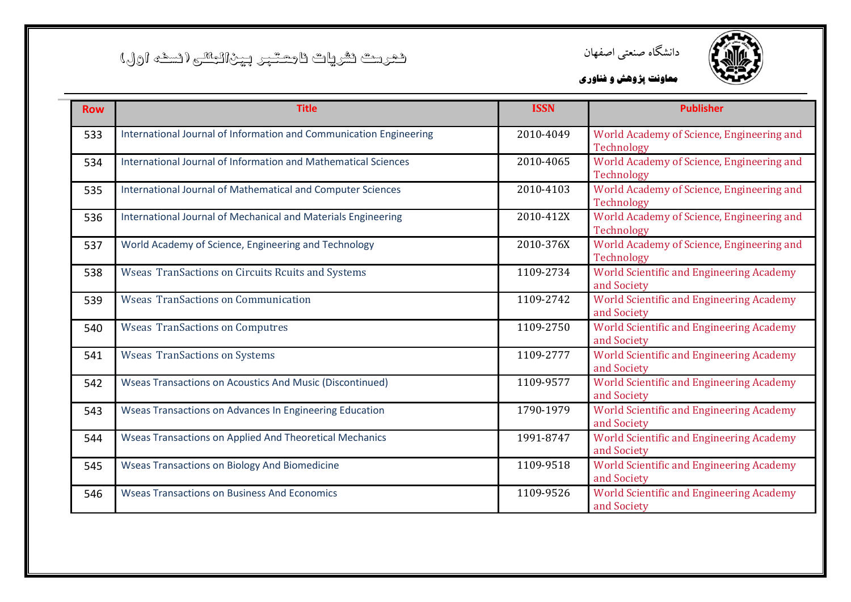![](_page_36_Picture_1.jpeg)

![](_page_36_Picture_2.jpeg)

| <b>Row</b> | <b>Title</b>                                                       | <b>ISSN</b> | <b>Publisher</b>                                               |
|------------|--------------------------------------------------------------------|-------------|----------------------------------------------------------------|
| 533        | International Journal of Information and Communication Engineering | 2010-4049   | World Academy of Science, Engineering and<br>Technology        |
| 534        | International Journal of Information and Mathematical Sciences     | 2010-4065   | World Academy of Science, Engineering and<br>Technology        |
| 535        | International Journal of Mathematical and Computer Sciences        | 2010-4103   | World Academy of Science, Engineering and<br>Technology        |
| 536        | International Journal of Mechanical and Materials Engineering      | 2010-412X   | World Academy of Science, Engineering and<br>Technology        |
| 537        | World Academy of Science, Engineering and Technology               | 2010-376X   | World Academy of Science, Engineering and<br>Technology        |
| 538        | Wseas TranSactions on Circuits Rcuits and Systems                  | 1109-2734   | <b>World Scientific and Engineering Academy</b><br>and Society |
| 539        | <b>Wseas TranSactions on Communication</b>                         | 1109-2742   | <b>World Scientific and Engineering Academy</b><br>and Society |
| 540        | <b>Wseas TranSactions on Computres</b>                             | 1109-2750   | <b>World Scientific and Engineering Academy</b><br>and Society |
| 541        | <b>Wseas TranSactions on Systems</b>                               | 1109-2777   | <b>World Scientific and Engineering Academy</b><br>and Society |
| 542        | Wseas Transactions on Acoustics And Music (Discontinued)           | 1109-9577   | <b>World Scientific and Engineering Academy</b><br>and Society |
| 543        | Wseas Transactions on Advances In Engineering Education            | 1790-1979   | <b>World Scientific and Engineering Academy</b><br>and Society |
| 544        | <b>Wseas Transactions on Applied And Theoretical Mechanics</b>     | 1991-8747   | <b>World Scientific and Engineering Academy</b><br>and Society |
| 545        | <b>Wseas Transactions on Biology And Biomedicine</b>               | 1109-9518   | <b>World Scientific and Engineering Academy</b><br>and Society |
| 546        | <b>Wseas Transactions on Business And Economics</b>                | 1109-9526   | <b>World Scientific and Engineering Academy</b><br>and Society |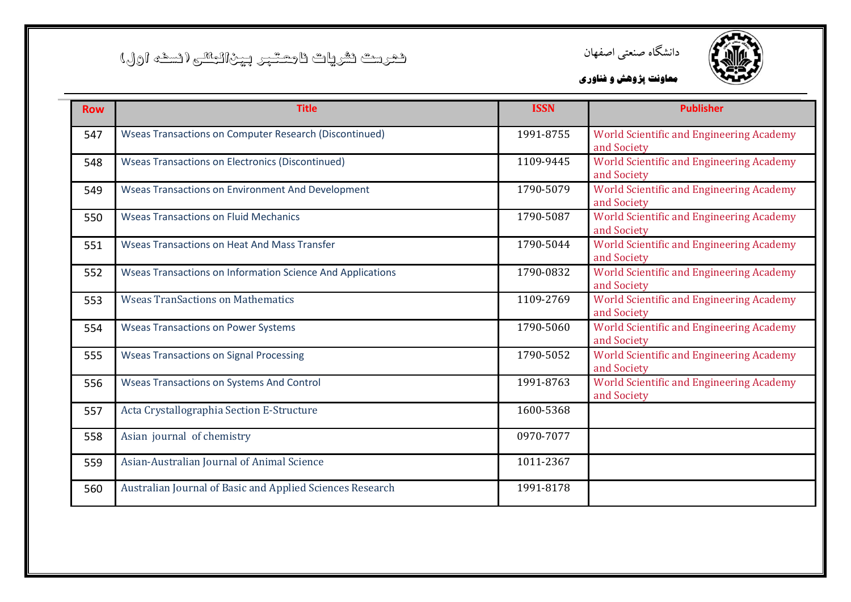![](_page_37_Picture_1.jpeg)

![](_page_37_Picture_2.jpeg)

| <b>Row</b> | <b>Title</b>                                                  | <b>ISSN</b> | <b>Publisher</b>                                               |
|------------|---------------------------------------------------------------|-------------|----------------------------------------------------------------|
| 547        | <b>Wseas Transactions on Computer Research (Discontinued)</b> | 1991-8755   | <b>World Scientific and Engineering Academy</b><br>and Society |
| 548        | <b>Wseas Transactions on Electronics (Discontinued)</b>       | 1109-9445   | World Scientific and Engineering Academy<br>and Society        |
| 549        | <b>Wseas Transactions on Environment And Development</b>      | 1790-5079   | <b>World Scientific and Engineering Academy</b><br>and Society |
| 550        | <b>Wseas Transactions on Fluid Mechanics</b>                  | 1790-5087   | <b>World Scientific and Engineering Academy</b><br>and Society |
| 551        | <b>Wseas Transactions on Heat And Mass Transfer</b>           | 1790-5044   | World Scientific and Engineering Academy<br>and Society        |
| 552        | Wseas Transactions on Information Science And Applications    | 1790-0832   | <b>World Scientific and Engineering Academy</b><br>and Society |
| 553        | <b>Wseas TranSactions on Mathematics</b>                      | 1109-2769   | <b>World Scientific and Engineering Academy</b><br>and Society |
| 554        | <b>Wseas Transactions on Power Systems</b>                    | 1790-5060   | World Scientific and Engineering Academy<br>and Society        |
| 555        | <b>Wseas Transactions on Signal Processing</b>                | 1790-5052   | <b>World Scientific and Engineering Academy</b><br>and Society |
| 556        | <b>Wseas Transactions on Systems And Control</b>              | 1991-8763   | <b>World Scientific and Engineering Academy</b><br>and Society |
| 557        | Acta Crystallographia Section E-Structure                     | 1600-5368   |                                                                |
| 558        | Asian journal of chemistry                                    | 0970-7077   |                                                                |
| 559        | Asian-Australian Journal of Animal Science                    | 1011-2367   |                                                                |
| 560        | Australian Journal of Basic and Applied Sciences Research     | 1991-8178   |                                                                |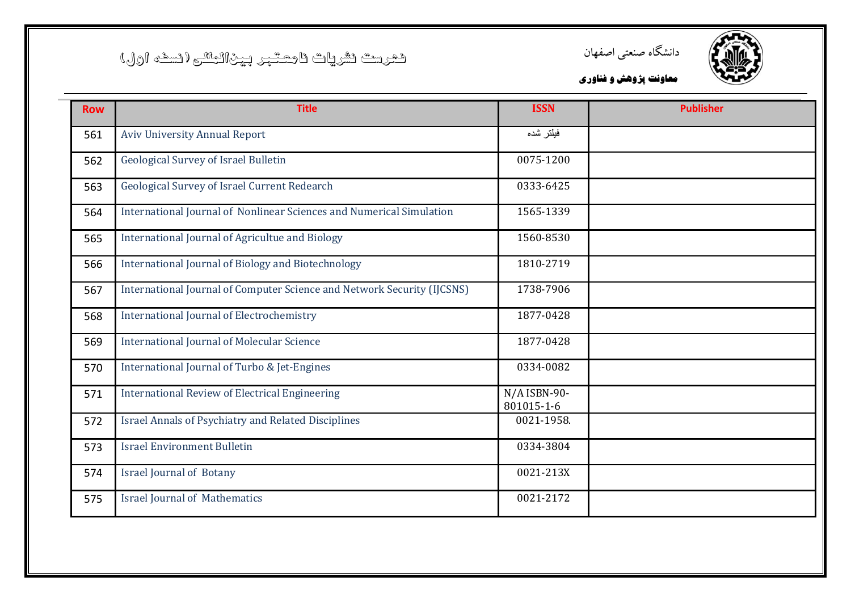![](_page_38_Picture_1.jpeg)

![](_page_38_Picture_2.jpeg)

| <b>Row</b> | <b>Title</b>                                                            | <b>ISSN</b>                  | <b>Publisher</b> |
|------------|-------------------------------------------------------------------------|------------------------------|------------------|
| 561        | <b>Aviv University Annual Report</b>                                    | فيلتر شده                    |                  |
| 562        | <b>Geological Survey of Israel Bulletin</b>                             | 0075-1200                    |                  |
| 563        | Geological Survey of Israel Current Redearch                            | 0333-6425                    |                  |
| 564        | International Journal of Nonlinear Sciences and Numerical Simulation    | 1565-1339                    |                  |
| 565        | International Journal of Agricultue and Biology                         | 1560-8530                    |                  |
| 566        | International Journal of Biology and Biotechnology                      | 1810-2719                    |                  |
| 567        | International Journal of Computer Science and Network Security (IJCSNS) | 1738-7906                    |                  |
| 568        | International Journal of Electrochemistry                               | 1877-0428                    |                  |
| 569        | <b>International Journal of Molecular Science</b>                       | 1877-0428                    |                  |
| 570        | International Journal of Turbo & Jet-Engines                            | 0334-0082                    |                  |
| 571        | <b>International Review of Electrical Engineering</b>                   | $N/A$ ISBN-90-<br>801015-1-6 |                  |
| 572        | <b>Israel Annals of Psychiatry and Related Disciplines</b>              | 0021-1958.                   |                  |
| 573        | <b>Israel Environment Bulletin</b>                                      | 0334-3804                    |                  |
| 574        | <b>Israel Journal of Botany</b>                                         | 0021-213X                    |                  |
| 575        | <b>Israel Journal of Mathematics</b>                                    | 0021-2172                    |                  |